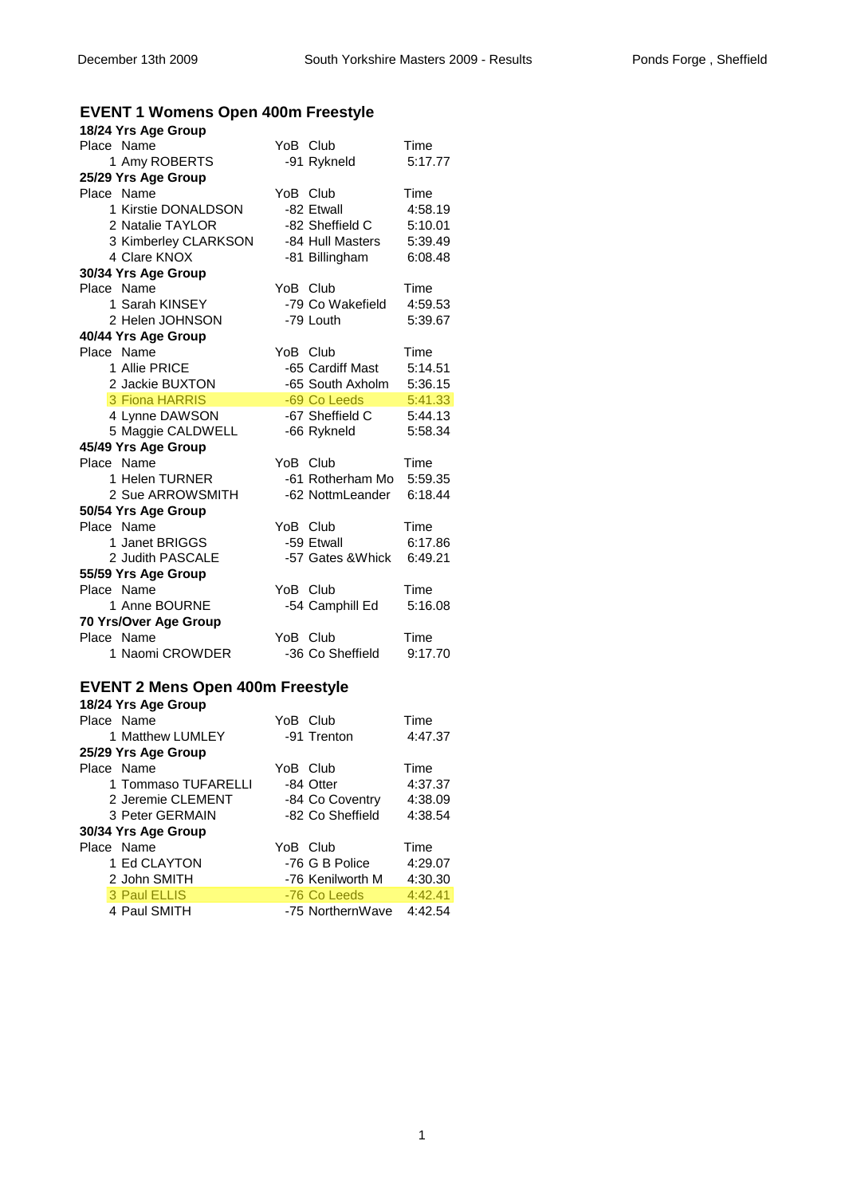# **EVENT 1 Womens Open 400m Freestyle**

| 18/24 Yrs Age Group                     |          |                   |         |
|-----------------------------------------|----------|-------------------|---------|
| Place Name                              |          | YoB Club          | Time    |
| 1 Amy ROBERTS                           |          | -91 Rykneld       | 5:17.77 |
| 25/29 Yrs Age Group                     |          |                   |         |
| Place Name                              | YoB Club |                   | Time    |
| 1 Kirstie DONALDSON                     |          | -82 Etwall        | 4:58.19 |
| 2 Natalie TAYLOR                        |          | -82 Sheffield C   | 5:10.01 |
| 3 Kimberley CLARKSON                    |          | -84 Hull Masters  | 5:39.49 |
| 4 Clare KNOX                            |          | -81 Billingham    | 6:08.48 |
| 30/34 Yrs Age Group                     |          |                   |         |
| Place Name                              | YoB Club |                   | Time    |
| 1 Sarah KINSEY                          |          | -79 Co Wakefield  | 4:59.53 |
| 2 Helen JOHNSON                         |          | -79 Louth         | 5:39.67 |
| 40/44 Yrs Age Group                     |          |                   |         |
| Place Name                              | YoB Club |                   | Time    |
| 1 Allie PRICE                           |          | -65 Cardiff Mast  | 5:14.51 |
| 2 Jackie BUXTON                         |          | -65 South Axholm  | 5:36.15 |
| 3 Fiona HARRIS                          |          | -69 Co Leeds      | 5:41.33 |
| 4 Lynne DAWSON                          |          | -67 Sheffield C   | 5:44.13 |
| 5 Maggie CALDWELL                       |          | -66 Rykneld       | 5:58.34 |
| 45/49 Yrs Age Group                     |          |                   |         |
| Place Name                              | YoB      | Club              | Time    |
| 1 Helen TURNER                          |          | -61 Rotherham Mo  | 5:59.35 |
| 2 Sue ARROWSMITH                        |          | -62 NottmLeander  | 6:18.44 |
| 50/54 Yrs Age Group                     |          |                   |         |
| Place Name                              | YoB Club |                   | Time    |
| 1 Janet BRIGGS                          |          | -59 Etwall        | 6:17.86 |
| 2 Judith PASCALE                        |          | -57 Gates & Whick | 6:49.21 |
| 55/59 Yrs Age Group                     |          |                   |         |
| Place Name                              | YoB Club |                   | Time    |
| 1 Anne BOURNE                           |          | -54 Camphill Ed   | 5:16.08 |
| 70 Yrs/Over Age Group                   |          |                   |         |
| Place Name                              | YoB Club |                   | Time    |
| 1 Naomi CROWDER                         |          | -36 Co Sheffield  | 9:17.70 |
|                                         |          |                   |         |
| <b>EVENT 2 Mens Open 400m Freestyle</b> |          |                   |         |

|            | 18/24 Yrs Age Group |          |                  |         |
|------------|---------------------|----------|------------------|---------|
| Place Name |                     | YoB Club |                  | Time    |
|            | 1 Matthew LUMLEY    |          | -91 Trenton      | 4:47.37 |
|            | 25/29 Yrs Age Group |          |                  |         |
| Place Name |                     | YoB Club |                  | Time    |
|            | 1 Tommaso TUFARELLI |          | -84 Otter        | 4:37.37 |
|            | 2 Jeremie CLEMENT   |          | -84 Co Coventry  | 4:38.09 |
|            | 3 Peter GERMAIN     |          | -82 Co Sheffield | 4:38.54 |
|            | 30/34 Yrs Age Group |          |                  |         |
| Place Name |                     | YoB Club |                  | Time    |
|            | 1 Ed CLAYTON        |          | -76 G B Police   | 4:29.07 |
|            | 2 John SMITH        |          | -76 Kenilworth M | 4:30.30 |
|            | 3 Paul ELLIS        |          | -76 Co Leeds     | 4:42.41 |
|            | 4 Paul SMITH        |          | -75 NorthernWave | 4:42.54 |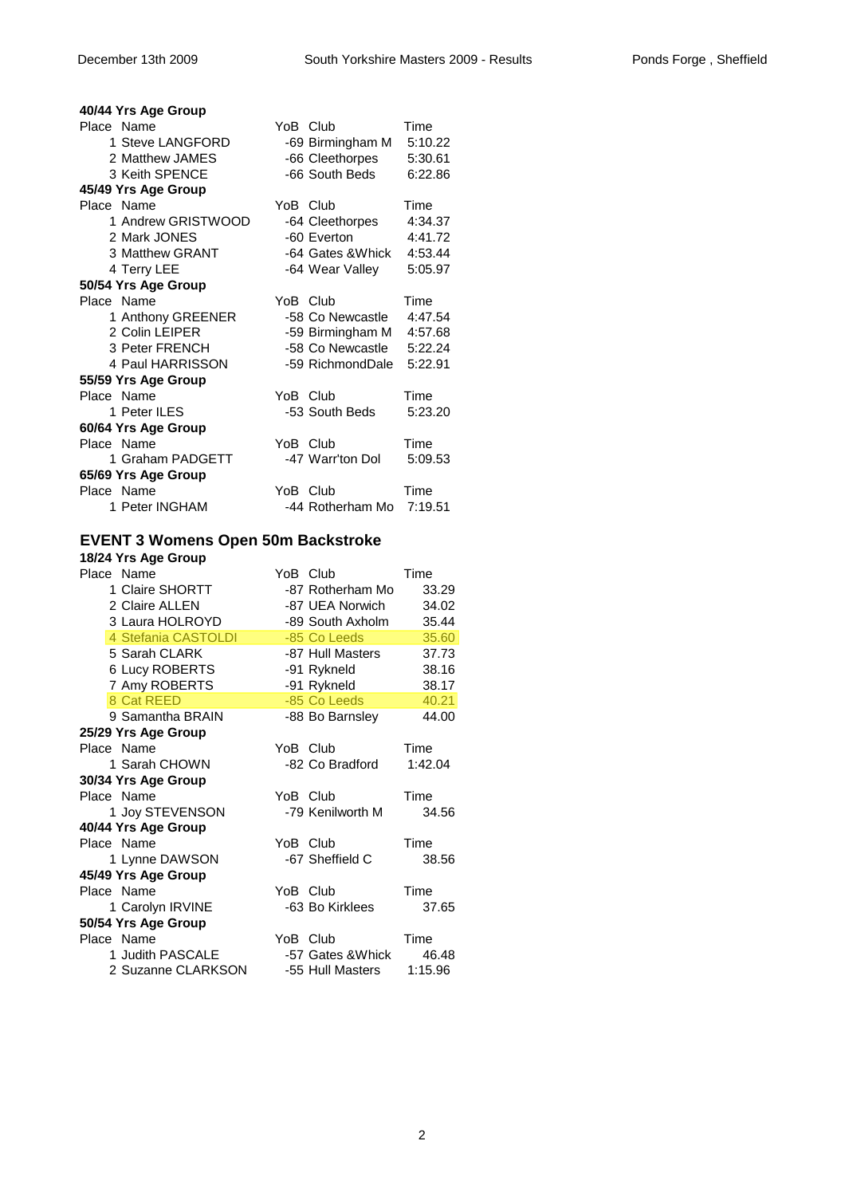| 40/44 Yrs Age Group |                  |         |
|---------------------|------------------|---------|
| Place Name          | YoB Club         | Time    |
| 1 Steve LANGFORD    | -69 Birmingham M | 5:10.22 |
| 2 Matthew JAMES     | -66 Cleethorpes  | 5:30.61 |
| 3 Keith SPENCE      | -66 South Beds   | 6:22.86 |
| 45/49 Yrs Age Group |                  |         |
| Place Name          | YoB Club         | Time    |
| 1 Andrew GRISTWOOD  | -64 Cleethorpes  | 4:34.37 |
| 2 Mark JONES        | -60 Everton      | 4:41.72 |
| 3 Matthew GRANT     | -64 Gates &Whick | 4:53.44 |
| 4 Terry LEE         | -64 Wear Valley  | 5:05.97 |
| 50/54 Yrs Age Group |                  |         |
| Place Name          | YoB Club         | Time    |
| 1 Anthony GREENER   | -58 Co Newcastle | 4:47.54 |
| 2 Colin LEIPER      | -59 Birmingham M | 4:57.68 |
| 3 Peter FRENCH      | -58 Co Newcastle | 5:22.24 |
| 4 Paul HARRISSON    | -59 RichmondDale | 5:22.91 |
| 55/59 Yrs Age Group |                  |         |
| Place Name          | YoB Club         | Time    |
| 1 Peter ILES        | -53 South Beds   | 5:23.20 |
| 60/64 Yrs Age Group |                  |         |
| Place Name          | YoB Club         | Time    |
| 1 Graham PADGETT    | -47 Warr'ton Dol | 5:09.53 |
| 65/69 Yrs Age Group |                  |         |
| Place Name          | YoB Club         | Time    |
| 1 Peter INGHAM      | -44 Rotherham Mo | 7:19.51 |

### **EVENT 3 Womens Open 50m Backstroke**

| 18/24 Yrs Age Group   |          |                   |         |
|-----------------------|----------|-------------------|---------|
| Place Name            | YoB Club |                   | Time    |
| 1 Claire SHORTT       |          | -87 Rotherham Mo  | 33.29   |
| 2 Claire ALLEN        |          | -87 UEA Norwich   | 34.02   |
| 3 Laura HOLROYD       |          | -89 South Axholm  | 35.44   |
| 4 Stefania CASTOLDI   |          | -85 Co Leeds      | 35.60   |
| 5 Sarah CLARK         |          | -87 Hull Masters  | 37.73   |
| <b>6 Lucy ROBERTS</b> |          | -91 Rykneld       | 38.16   |
| 7 Amy ROBERTS         |          | -91 Rykneld       | 38.17   |
| 8 Cat REED            |          | -85 Co Leeds      | 40.21   |
| 9 Samantha BRAIN      |          | -88 Bo Barnsley   | 44.00   |
| 25/29 Yrs Age Group   |          |                   |         |
| Place Name            | YoB Club |                   | Time    |
| 1 Sarah CHOWN         |          | -82 Co Bradford   | 1:42.04 |
| 30/34 Yrs Age Group   |          |                   |         |
| Place Name            | YoB Club |                   | Time    |
| 1 Joy STEVENSON       |          | -79 Kenilworth M  | 34.56   |
| 40/44 Yrs Age Group   |          |                   |         |
| Place Name            | YoB Club |                   | Time    |
| 1 Lynne DAWSON        |          | -67 Sheffield C   | 38.56   |
| 45/49 Yrs Age Group   |          |                   |         |
| Place Name            | YoB Club |                   | Time    |
| 1 Carolyn IRVINE      |          | -63 Bo Kirklees   | 37.65   |
| 50/54 Yrs Age Group   |          |                   |         |
| Place Name            | YoB Club |                   | Time    |
| 1 Judith PASCALE      |          | -57 Gates & Whick | 46.48   |
| 2 Suzanne CLARKSON    |          | -55 Hull Masters  | 1:15.96 |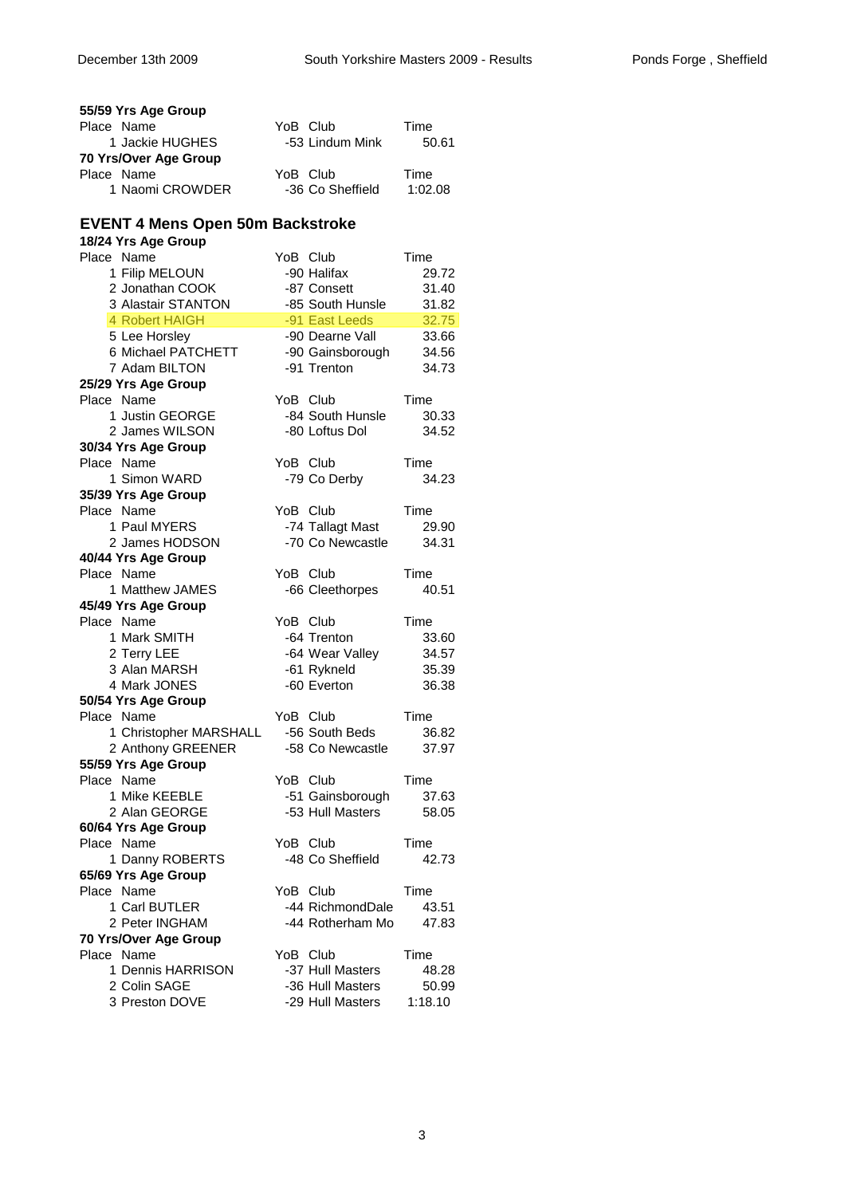| 55/59 Yrs Age Group                     |                              |                |
|-----------------------------------------|------------------------------|----------------|
| Place Name                              | YoB Club                     | Time           |
| 1 Jackie HUGHES                         | -53 Lindum Mink              | 50.61          |
| 70 Yrs/Over Age Group                   |                              |                |
| Place Name                              | YoB Club                     | Time           |
| 1 Naomi CROWDER                         | -36 Co Sheffield             | 1:02.08        |
| <b>EVENT 4 Mens Open 50m Backstroke</b> |                              |                |
| 18/24 Yrs Age Group                     |                              |                |
| Place Name                              | YoB Club                     | Time           |
| 1 Filip MELOUN                          | -90 Halifax                  | 29.72          |
| 2 Jonathan COOK                         | -87 Consett                  | 31.40          |
| 3 Alastair STANTON                      | -85 South Hunsle             | 31.82          |
| 4 Robert HAIGH                          | -91 East Leeds               | 32.75          |
| 5 Lee Horsley                           | -90 Dearne Vall              | 33.66          |
| 6 Michael PATCHETT                      | -90 Gainsborough             | 34.56          |
| 7 Adam BILTON                           | -91 Trenton                  | 34.73          |
| 25/29 Yrs Age Group                     |                              |                |
| Place Name                              | YoB Club                     | Time           |
| 1 Justin GEORGE                         | -84 South Hunsle             | 30.33          |
| 2 James WILSON                          | -80 Loftus Dol               | 34.52          |
| 30/34 Yrs Age Group<br>Place Name       | YoB Club                     | Time           |
| 1 Simon WARD                            | -79 Co Derby                 | 34.23          |
| 35/39 Yrs Age Group                     |                              |                |
| Place Name                              | YoB Club                     | Time           |
| 1 Paul MYERS                            | -74 Tallagt Mast             | 29.90          |
| 2 James HODSON                          | -70 Co Newcastle             | 34.31          |
| 40/44 Yrs Age Group                     |                              |                |
| Place Name                              | YoB Club                     | Time           |
| 1 Matthew JAMES                         | -66 Cleethorpes              | 40.51          |
| 45/49 Yrs Age Group                     |                              |                |
| Place Name                              | YoB Club                     | Time           |
| 1 Mark SMITH                            | -64 Trenton                  | 33.60          |
| 2 Terry LEE                             | -64 Wear Valley              | 34.57          |
| 3 Alan MARSH                            | -61 Rykneld                  | 35.39          |
| 4 Mark JONES                            | -60 Everton                  | 36.38          |
| 50/54 Yrs Age Group<br>Place Name       | YoB Club                     | Time           |
| 1 Christopher MARSHALL                  | -56 South Beds               | 36.82          |
| 2 Anthony GREENER                       | -58 Co Newcastle             | 37.97          |
| 55/59 Yrs Age Group                     |                              |                |
| Place Name                              | YoB Club                     | Time           |
| 1 Mike KEEBLE                           | -51 Gainsborough             | 37.63          |
| 2 Alan GEORGE                           | -53 Hull Masters             | 58.05          |
| 60/64 Yrs Age Group                     |                              |                |
| Place Name                              | YoB Club                     | Time           |
| 1 Danny ROBERTS                         | -48 Co Sheffield             | 42.73          |
| 65/69 Yrs Age Group                     |                              |                |
| Place Name                              | YoB Club                     | Time           |
| 1 Carl BUTLER                           | -44 RichmondDale             | 43.51          |
| 2 Peter INGHAM                          | -44 Rotherham Mo             | 47.83          |
| 70 Yrs/Over Age Group                   |                              |                |
| Place Name<br>1 Dennis HARRISON         | YoB Club<br>-37 Hull Masters | Time           |
| 2 Colin SAGE                            | -36 Hull Masters             | 48.28<br>50.99 |
| 3 Preston DOVE                          | -29 Hull Masters             | 1:18.10        |
|                                         |                              |                |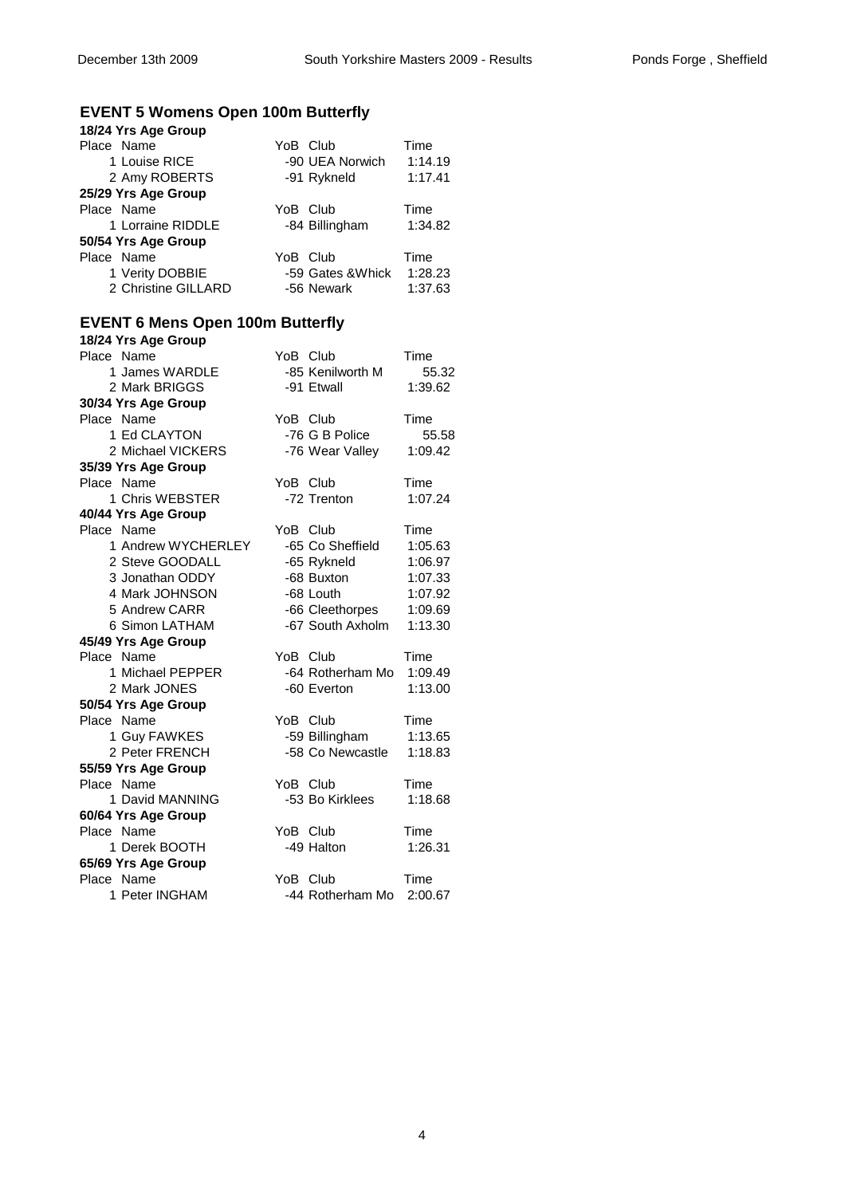# **EVENT 5 Womens Open 100m Butterfly**

| 18/24 Yrs Age Group                     |          |                   |         |
|-----------------------------------------|----------|-------------------|---------|
| Place Name                              |          | YoB Club          | Time    |
| 1 Louise RICE                           |          | -90 UEA Norwich   | 1:14.19 |
| 2 Amy ROBERTS                           |          | -91 Rykneld       | 1:17.41 |
| 25/29 Yrs Age Group                     |          |                   |         |
| Place Name                              | YoB Club |                   | Time    |
| 1 Lorraine RIDDLE                       |          | -84 Billingham    | 1:34.82 |
| 50/54 Yrs Age Group                     |          |                   |         |
| Place Name                              | YoB Club |                   | Time    |
| 1 Verity DOBBIE                         |          | -59 Gates & Whick | 1:28.23 |
| 2 Christine GILLARD                     |          | -56 Newark        | 1:37.63 |
|                                         |          |                   |         |
| <b>EVENT 6 Mens Open 100m Butterfly</b> |          |                   |         |
| 18/24 Yrs Age Group                     |          |                   |         |
| Place Name                              |          | YoB Club          | Time    |
| 1 James WARDLE                          |          | -85 Kenilworth M  | 55.32   |
| 2 Mark BRIGGS                           |          | -91 Etwall        |         |
|                                         |          |                   | 1:39.62 |
| 30/34 Yrs Age Group                     |          |                   |         |
| Place Name                              | YoB Club |                   | Time    |
| 1 Ed CLAYTON                            |          | -76 G B Police    | 55.58   |
| 2 Michael VICKERS                       |          | -76 Wear Valley   | 1:09.42 |
| 35/39 Yrs Age Group                     |          |                   |         |
| Place Name                              | YoB Club |                   | Time    |
| 1 Chris WEBSTER                         |          | -72 Trenton       | 1:07.24 |
| 40/44 Yrs Age Group                     |          |                   |         |
| Place Name                              |          | YoB Club          | Time    |
| 1 Andrew WYCHERLEY                      |          | -65 Co Sheffield  | 1:05.63 |
| 2 Steve GOODALL                         |          | -65 Rykneld       | 1:06.97 |
| 3 Jonathan ODDY                         |          | -68 Buxton        | 1:07.33 |
| 4 Mark JOHNSON                          |          | -68 Louth         | 1:07.92 |
| 5 Andrew CARR                           |          | -66 Cleethorpes   | 1:09.69 |
| 6 Simon LATHAM                          |          | -67 South Axholm  | 1:13.30 |
| 45/49 Yrs Age Group                     |          |                   |         |
| Place Name                              |          | YoB Club          | Time    |
| 1 Michael PEPPER                        |          | -64 Rotherham Mo  | 1:09.49 |
| 2 Mark JONES                            |          | -60 Everton       | 1:13.00 |
| 50/54 Yrs Age Group                     |          |                   |         |
| Place Name                              |          | YoB Club          | Time    |
| 1 Guy FAWKES                            |          | -59 Billingham    | 1:13.65 |
| 2 Peter FRENCH                          |          | -58 Co Newcastle  | 1:18.83 |
| 55/59 Yrs Age Group                     |          |                   |         |
| Place Name                              | YoB Club |                   | Time    |
| 1 David MANNING                         |          | -53 Bo Kirklees   | 1:18.68 |
| 60/64 Yrs Age Group                     |          |                   |         |
| Place Name                              | YoB Club |                   | Time    |
| 1 Derek BOOTH                           |          | -49 Halton        | 1:26.31 |
| 65/69 Yrs Age Group                     |          |                   |         |
| Place Name                              | YoB Club |                   | Time    |
| 1 Peter INGHAM                          |          | -44 Rotherham Mo  | 2:00.67 |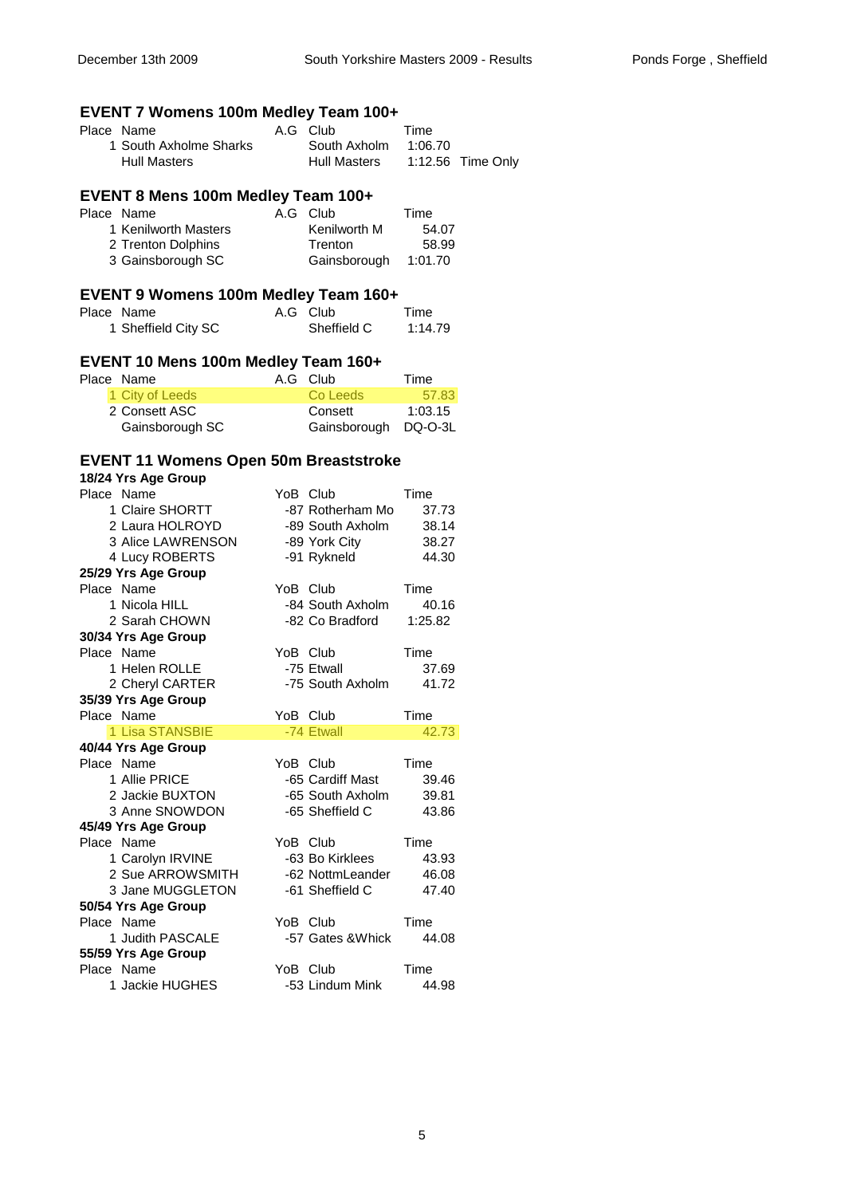# **EVENT 7 Womens 100m Medley Team 100+**

| Place Name             | A.G Club             | Time |                   |
|------------------------|----------------------|------|-------------------|
| 1 South Axholme Sharks | South Axholm 1:06.70 |      |                   |
| Hull Masters           | Hull Masters         |      | 1:12.56 Time Only |

# **EVENT 8 Mens 100m Medley Team 100+**

| Place Name           | A.G Club     | Time    |
|----------------------|--------------|---------|
| 1 Kenilworth Masters | Kenilworth M | 54.07   |
| 2 Trenton Dolphins   | Trenton      | 58.99   |
| 3 Gainsborough SC    | Gainsborough | 1:01.70 |

| EVENT 9 Womens 100m Medley Team 160+ |             |         |
|--------------------------------------|-------------|---------|
| Place Name                           | A.G Club    | Time    |
| 1 Sheffield City SC                  | Sheffield C | 1:14.79 |

#### **EVENT 10 Mens 100m Medley Team 160+**

| Place Name      | A.G Club             | Time    |
|-----------------|----------------------|---------|
| 1 City of Leeds | Co Leeds             | 57.83   |
| 2 Consett ASC   | Consett              | 1:03.15 |
| Gainsborough SC | Gainsborough DQ-O-3L |         |

#### **EVENT 11 Womens Open 50m Breaststroke**

| 18/24 Yrs Age Group           |                   |               |
|-------------------------------|-------------------|---------------|
| Place Name                    | YoB Club          | Time          |
| 1 Claire SHORTT               | -87 Rotherham Mo  | 37.73         |
| 2 Laura HOLROYD               | -89 South Axholm  | 38.14         |
| 3 Alice LAWRENSON             | -89 York City     | 38.27         |
| 4 Lucy ROBERTS                | -91 Rykneld       | 44.30         |
| 25/29 Yrs Age Group           |                   |               |
| Place Name                    | YoB Club          | Time          |
| 1 Nicola HILL                 | -84 South Axholm  | 40.16         |
| 2 Sarah CHOWN                 | -82 Co Bradford   | 1:25.82       |
| 30/34 Yrs Age Group           |                   |               |
| Place Name                    | YoB Club          | Time          |
| 1 Helen ROLLE                 | -75 Etwall        | 37.69         |
| 2 Cheryl CARTER               | -75 South Axholm  | 41.72         |
| 35/39 Yrs Age Group           |                   |               |
| Place Name                    | YoB Club          | Time          |
|                               |                   |               |
| 1 Lisa STANSBIE               | -74 Etwall        | 42.73         |
| 40/44 Yrs Age Group           |                   |               |
| Place Name                    | YoB Club          | Time          |
| 1 Allie PRICE                 | -65 Cardiff Mast  | 39.46         |
| 2 Jackie BUXTON               | -65 South Axholm  | 39.81         |
| 3 Anne SNOWDON                | -65 Sheffield C   | 43.86         |
| 45/49 Yrs Age Group           |                   |               |
| Place Name                    | YoB Club          | Time          |
| 1 Carolyn IRVINE              | -63 Bo Kirklees   | 43.93         |
| 2 Sue ARROWSMITH              | -62 NottmLeander  | 46.08         |
| 3 Jane MUGGLETON              | -61 Sheffield C   | 47.40         |
| 50/54 Yrs Age Group           |                   |               |
| Place Name                    | YoB Club          | Time          |
| 1 Judith PASCALE              | -57 Gates & Whick | 44.08         |
| 55/59 Yrs Age Group           |                   |               |
| Place Name<br>1 Jackie HUGHES | YoB Club          | Time<br>44.98 |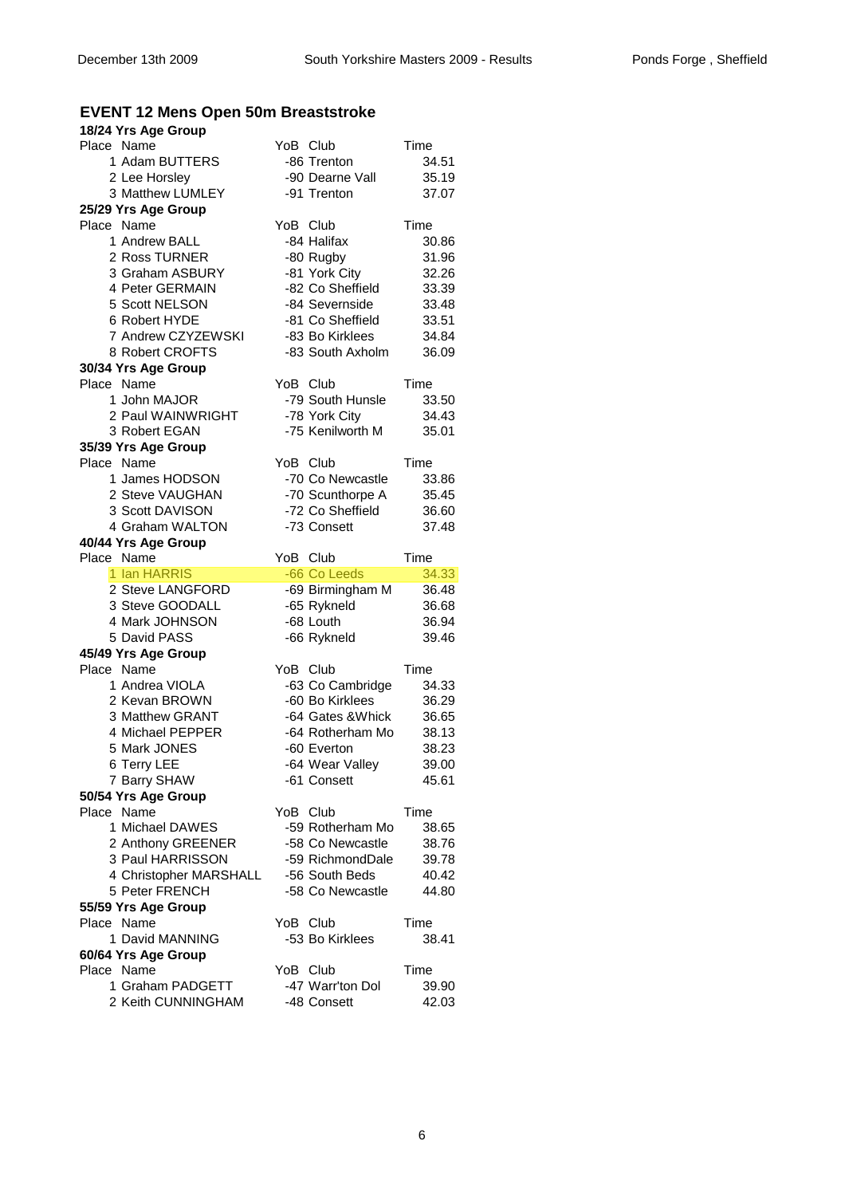# **EVENT 12 Mens Open 50m Breaststroke**

| 18/24 Yrs Age Group                      |                                    |                |
|------------------------------------------|------------------------------------|----------------|
| Place Name                               | YoB Club                           | Time           |
| 1 Adam BUTTERS                           | -86 Trenton                        | 34.51          |
| 2 Lee Horsley                            | -90 Dearne Vall                    | 35.19          |
| 3 Matthew LUMLEY                         | -91 Trenton                        | 37.07          |
| 25/29 Yrs Age Group                      |                                    |                |
| Place Name                               | YoB Club                           | Time           |
| 1 Andrew BALL                            | -84 Halifax                        | 30.86          |
| 2 Ross TURNER                            | -80 Rugby                          | 31.96          |
| 3 Graham ASBURY                          | -81 York City                      | 32.26          |
| 4 Peter GERMAIN                          | -82 Co Sheffield                   | 33.39          |
| 5 Scott NELSON                           | -84 Severnside                     | 33.48          |
| 6 Robert HYDE                            | -81 Co Sheffield                   | 33.51          |
| 7 Andrew CZYZEWSKI                       | -83 Bo Kirklees                    | 34.84          |
| 8 Robert CROFTS                          | -83 South Axholm                   | 36.09          |
| 30/34 Yrs Age Group<br>Place Name        | YoB Club                           | Time           |
| 1 John MAJOR                             | -79 South Hunsle                   | 33.50          |
| 2 Paul WAINWRIGHT                        | -78 York City                      | 34.43          |
| 3 Robert EGAN                            | -75 Kenilworth M                   | 35.01          |
| 35/39 Yrs Age Group                      |                                    |                |
| Place Name                               | YoB Club                           | Time           |
| 1 James HODSON                           | -70 Co Newcastle                   | 33.86          |
| 2 Steve VAUGHAN                          | -70 Scunthorpe A                   | 35.45          |
| 3 Scott DAVISON                          | -72 Co Sheffield                   | 36.60          |
| 4 Graham WALTON                          | -73 Consett                        | 37.48          |
| 40/44 Yrs Age Group                      |                                    |                |
| Place Name                               | YoB Club                           | Time           |
|                                          |                                    |                |
| 1 Ian HARRIS                             | -66 Co Leeds                       | 34.33          |
| 2 Steve LANGFORD                         | -69 Birmingham M                   | 36.48          |
| 3 Steve GOODALL                          | -65 Rykneld                        | 36.68          |
| 4 Mark JOHNSON                           | -68 Louth                          | 36.94          |
| 5 David PASS                             | -66 Rykneld                        | 39.46          |
| 45/49 Yrs Age Group                      |                                    |                |
| Place Name                               | YoB Club                           | Time           |
| 1 Andrea VIOLA                           | -63 Co Cambridge                   | 34.33          |
| 2 Kevan BROWN                            | -60 Bo Kirklees                    | 36.29          |
| 3 Matthew GRANT                          | -64 Gates & Whick                  | 36.65          |
| 4 Michael PEPPER                         | -64 Rotherham Mo                   | 38.13          |
| 5 Mark JONES                             | -60 Everton                        | 38.23          |
| 6 Terry LEE                              | -64 Wear Valley                    | 39.00          |
| 7 Barry SHAW                             | -61 Consett                        | 45.61          |
| 50/54 Yrs Age Group                      |                                    |                |
| Place Name                               | YoB Club                           | Time           |
| 1 Michael DAWES                          | -59 Rotherham Mo                   | 38.65          |
| 2 Anthony GREENER<br>3 Paul HARRISSON    | -58 Co Newcastle                   | 38.76          |
|                                          | -59 RichmondDale<br>-56 South Beds | 39.78          |
| 4 Christopher MARSHALL<br>5 Peter FRENCH | -58 Co Newcastle                   | 40.42<br>44.80 |
| 55/59 Yrs Age Group                      |                                    |                |
| Place Name                               | YoB Club                           | Time           |
| 1 David MANNING                          | -53 Bo Kirklees                    | 38.41          |
| 60/64 Yrs Age Group                      |                                    |                |
| Place Name                               | YoB Club                           | Time           |
| 1 Graham PADGETT<br>2 Keith CUNNINGHAM   | -47 Warr'ton Dol<br>-48 Consett    | 39.90<br>42.03 |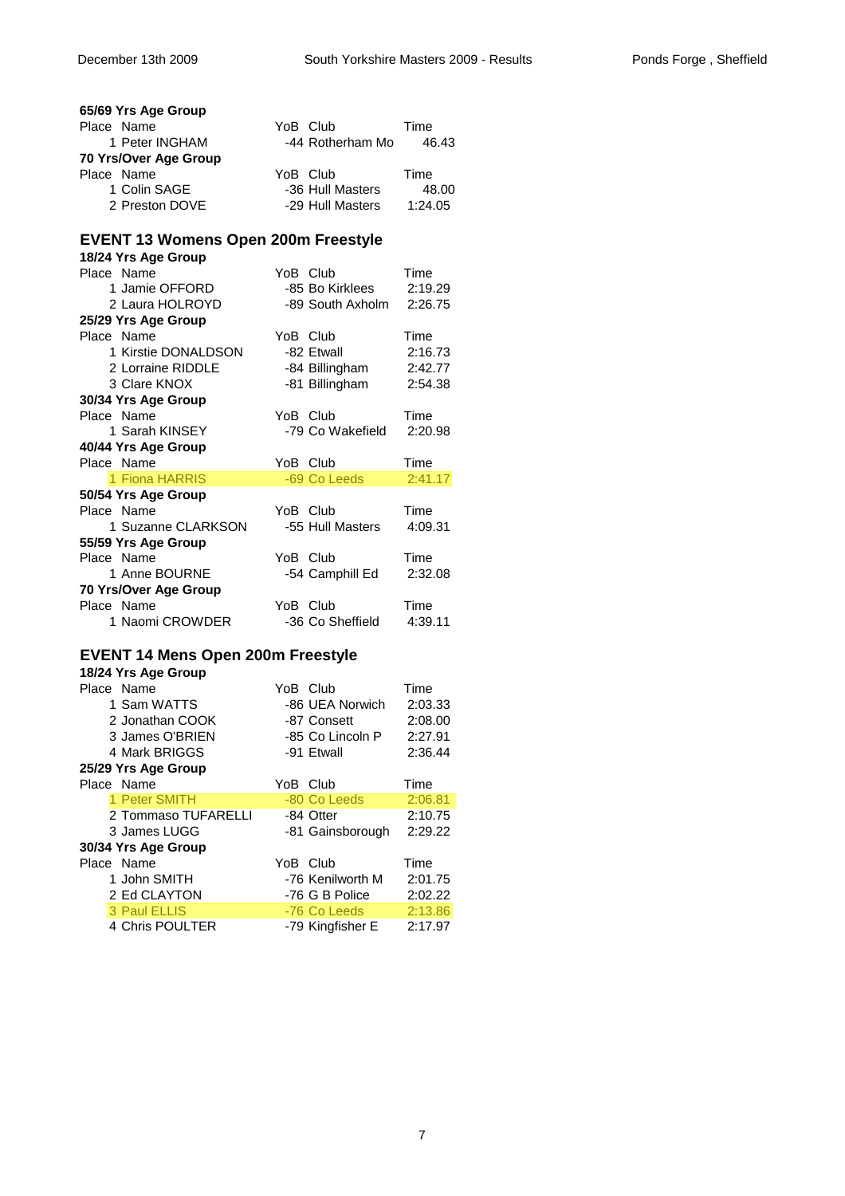| 65/69 Yrs Age Group                        |          |                  |         |
|--------------------------------------------|----------|------------------|---------|
| Place Name                                 | YoB Club |                  | Time    |
| 1 Peter INGHAM                             |          | -44 Rotherham Mo | 46.43   |
| 70 Yrs/Over Age Group                      |          |                  |         |
| Place Name                                 | YoB Club |                  | Time    |
| 1 Colin SAGE                               |          | -36 Hull Masters | 48.00   |
| 2 Preston DOVE                             |          | -29 Hull Masters | 1:24.05 |
|                                            |          |                  |         |
| <b>EVENT 13 Womens Open 200m Freestyle</b> |          |                  |         |
| 18/24 Yrs Age Group                        |          |                  |         |
| Place Name                                 | YoB Club |                  | Time    |
| 1 Jamie OFFORD                             |          | -85 Bo Kirklees  | 2:19.29 |
| 2 Laura HOLROYD                            |          | -89 South Axholm | 2:26.75 |
| 25/29 Yrs Age Group                        |          |                  |         |
| Place Name                                 | YoB Club |                  | Time    |
| 1 Kirstie DONALDSON                        |          | -82 Etwall       | 2:16.73 |
| 2 Lorraine RIDDLE                          |          | -84 Billingham   | 2:42.77 |
| 3 Clare KNOX                               |          | -81 Billingham   | 2:54.38 |
| 30/34 Yrs Age Group                        |          |                  |         |
| Place Name                                 | YoB Club |                  | Time    |
| 1 Sarah KINSEY                             |          | -79 Co Wakefield | 2:20.98 |
| 40/44 Yrs Age Group                        |          |                  |         |
|                                            |          |                  | Time    |
| Place Name                                 | YoB Club |                  |         |
| 1 Fiona HARRIS                             |          | -69 Co Leeds     | 2:41.17 |
|                                            |          |                  |         |
| 50/54 Yrs Age Group<br>Place Name          | YoB Club |                  | Time    |
| 1 Suzanne CLARKSON                         |          | -55 Hull Masters | 4:09.31 |
| 55/59 Yrs Age Group                        |          |                  |         |
| Place Name                                 | YoB Club |                  | Time    |
| 1 Anne BOURNE                              |          | -54 Camphill Ed  | 2:32.08 |
| 70 Yrs/Over Age Group                      |          |                  |         |
| Place Name                                 | YoB Club |                  | Time    |
| 1 Naomi CROWDER                            |          | -36 Co Sheffield | 4:39.11 |
|                                            |          |                  |         |
| <b>EVENT 14 Mens Open 200m Freestyle</b>   |          |                  |         |
| 18/24 Yrs Age Group                        |          |                  |         |
| Place Name                                 | YoB Club |                  | Time    |
| 1 Sam WATTS                                |          | -86 UEA Norwich  | 2:03.33 |
| 2 Jonathan COOK                            |          | -87 Consett      | 2:08.00 |
| 3 James O'BRIEN                            |          | -85 Co Lincoln P | 2:27.91 |
| 4 Mark BRIGGS                              |          | -91 Etwall       | 2:36.44 |
| 25/29 Yrs Age Group                        |          |                  |         |
| Place Name                                 | YoB Club |                  | Time    |
| 1 Peter SMITH                              |          | -80 Co Leeds     | 2:06.81 |

| 1 Peter SMITH       | -80 Co Leeds     | 2:06.81 |
|---------------------|------------------|---------|
| 2 Tommaso TUFARELLI | -84 Otter        | 2:10.75 |
| 3 James LUGG        | -81 Gainsborough | 2:29.22 |
| 30/34 Yrs Age Group |                  |         |
| Place Name          | YoB Club         | Time    |
| 1 John SMITH        | -76 Kenilworth M | 2:01.75 |
| 2 Ed CLAYTON        | -76 G B Police   | 2:02.22 |
| 3 Paul ELLIS        | -76 Co Leeds     | 2:13.86 |
| 4 Chris POULTER     | -79 Kingfisher E | 2:17.97 |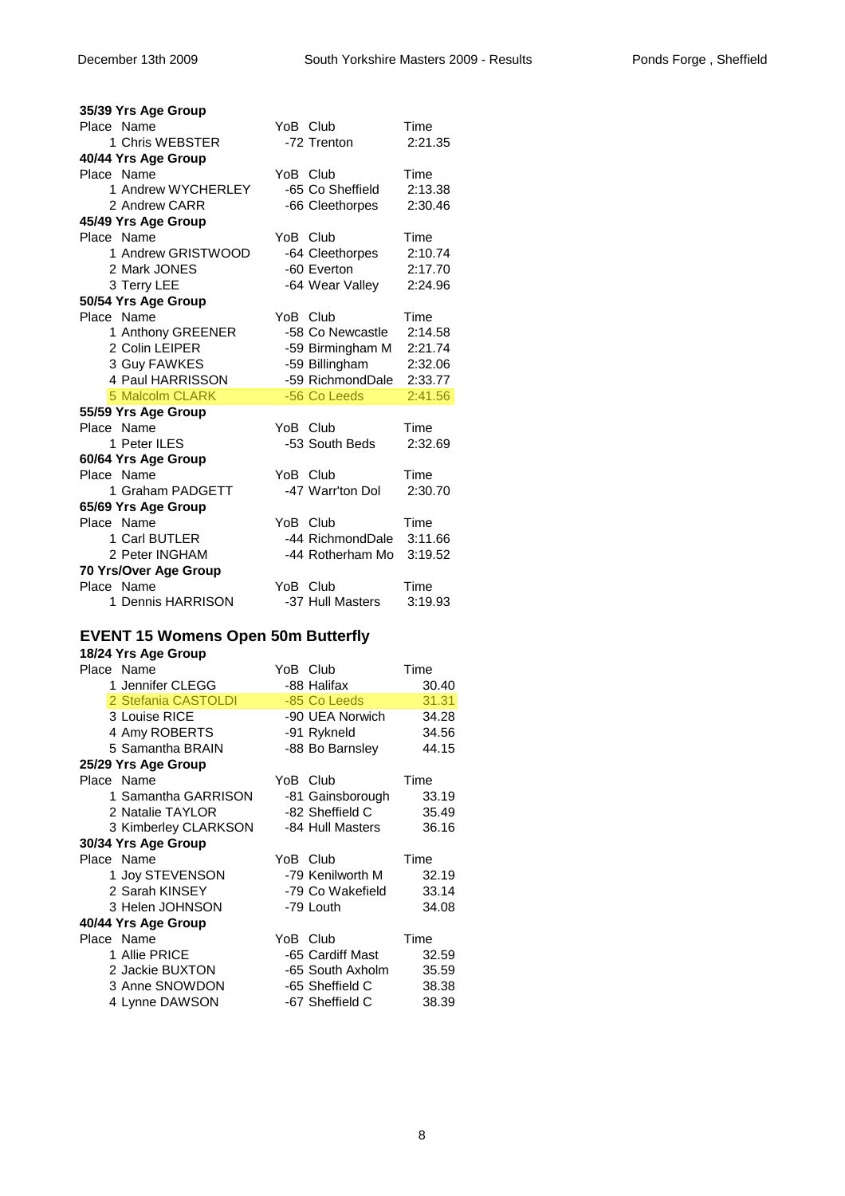| 35/39 Yrs Age Group    |                  |         |
|------------------------|------------------|---------|
| Place Name             | YoB Club         | Time    |
| 1 Chris WEBSTER        | -72 Trenton      | 2:21.35 |
| 40/44 Yrs Age Group    |                  |         |
| Place Name             | YoB Club         | Time    |
| 1 Andrew WYCHERLEY     | -65 Co Sheffield | 2:13.38 |
| 2 Andrew CARR          | -66 Cleethorpes  | 2:30.46 |
| 45/49 Yrs Age Group    |                  |         |
| Place Name             | YoB Club         | Time    |
| 1 Andrew GRISTWOOD     | -64 Cleethorpes  | 2:10.74 |
| 2 Mark JONES           | -60 Everton      | 2:17.70 |
| 3 Terry LEE            | -64 Wear Valley  | 2:24.96 |
| 50/54 Yrs Age Group    |                  |         |
| Place Name             | YoB Club         | Time    |
| 1 Anthony GREENER      | -58 Co Newcastle | 2:14.58 |
| 2 Colin LEIPER         | -59 Birmingham M | 2:21.74 |
| 3 Guy FAWKES           | -59 Billingham   | 2:32.06 |
| 4 Paul HARRISSON       | -59 RichmondDale | 2:33.77 |
| <b>5 Malcolm CLARK</b> | -56 Co Leeds     | 2:41.56 |
| 55/59 Yrs Age Group    |                  |         |
| Place Name             | YoB Club         | Time    |
| 1 Peter ILES           | -53 South Beds   | 2:32.69 |
| 60/64 Yrs Age Group    |                  |         |
| Place Name             | YoB Club         | Time    |

| -47 Warr'ton Dol | 2:30.70                  |
|------------------|--------------------------|
|                  |                          |
| YoB Club         | Time                     |
| -44 RichmondDale | 3:11.66                  |
|                  |                          |
|                  |                          |
| YoB Club         | Time                     |
| -37 Hull Masters | 3:19.93                  |
|                  | -44 Rotherham Mo 3:19.52 |

# **EVENT 15 Womens Open 50m Butterfly**

| 18/24 Yrs Age Group  |                  |               |
|----------------------|------------------|---------------|
| Place Name           | YoB Club         | Time          |
| 1 Jennifer CLEGG     | -88 Halifax      | 30.40         |
| 2 Stefania CASTOLDI  | -85 Co Leeds     | 31.31         |
| 3 Louise RICE        | -90 UEA Norwich  | 34.28         |
| 4 Amy ROBERTS        | -91 Rykneld      | 34.56         |
| 5 Samantha BRAIN     | -88 Bo Barnsley  | 44.15         |
| 25/29 Yrs Age Group  |                  |               |
| Place Name           | YoB Club         | Time          |
| 1 Samantha GARRISON  | -81 Gainsborough | 33.19         |
| 2 Natalie TAYLOR     | -82 Sheffield C  | 35.49         |
| 3 Kimberley CLARKSON | -84 Hull Masters | 36.16         |
| 30/34 Yrs Age Group  |                  |               |
| Place Name           | YoB Club         | Time          |
| 1 Joy STEVENSON      | -79 Kenilworth M | 32.19         |
| 2 Sarah KINSEY       | -79 Co Wakefield | 33.14         |
| 3 Helen JOHNSON      | -79 Louth        | 34.08         |
| 40/44 Yrs Age Group  |                  |               |
| Place Name           | YoB Club         | Time          |
| 1 Allie PRICE        | -65 Cardiff Mast | 32.59         |
| 2 Jackie BUXTON      | -65 South Axholm | 35.59         |
| 3 Anne SNOWDON       | -65 Sheffield C  | 38.38         |
| R                    | $        -$      | $\sim$ $\sim$ |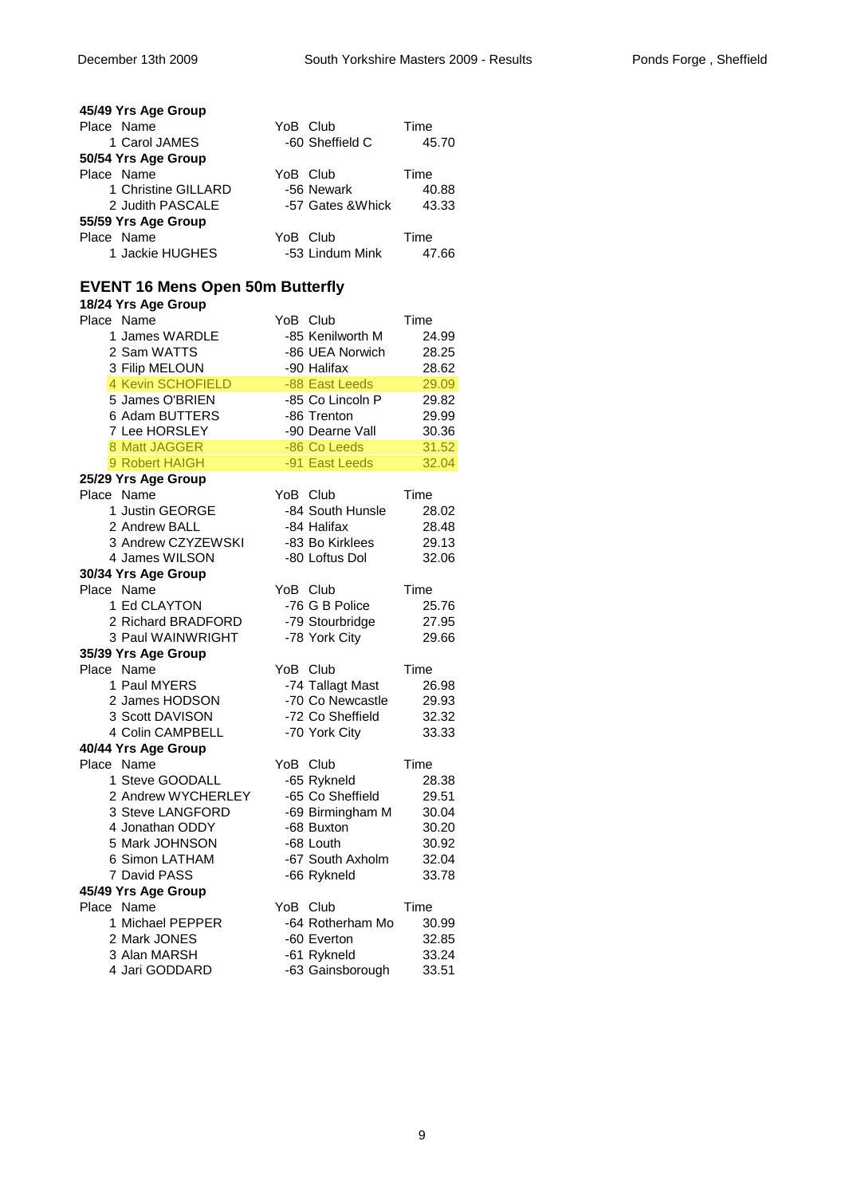| 45/49 Yrs Age Group                     |                                |                |
|-----------------------------------------|--------------------------------|----------------|
| Place Name                              | YoB Club                       | Time           |
| 1 Carol JAMES                           | -60 Sheffield C                | 45.70          |
| 50/54 Yrs Age Group                     |                                |                |
| Place Name                              | YoB Club                       | Time           |
| 1 Christine GILLARD                     | -56 Newark                     | 40.88          |
| 2 Judith PASCALE                        | -57 Gates & Whick              | 43.33          |
| 55/59 Yrs Age Group                     |                                |                |
| Place Name                              | YoB Club                       | Time           |
| 1 Jackie HUGHES                         | -53 Lindum Mink                | 47.66          |
|                                         |                                |                |
| <b>EVENT 16 Mens Open 50m Butterfly</b> |                                |                |
| 18/24 Yrs Age Group                     |                                |                |
| Place Name                              | YoB Club                       | Time           |
| 1 James WARDLE                          | -85 Kenilworth M               | 24.99          |
| 2 Sam WATTS                             | -86 UEA Norwich                | 28.25          |
| 3 Filip MELOUN                          | -90 Halifax                    | 28.62          |
| 4 Kevin SCHOFIELD                       | -88 East Leeds                 | 29.09          |
| 5 James O'BRIEN                         | -85 Co Lincoln P               | 29.82          |
| 6 Adam BUTTERS                          | -86 Trenton                    | 29.99          |
| 7 Lee HORSLEY                           | -90 Dearne Vall                | 30.36          |
| 8 Matt JAGGER                           | -86 Co Leeds                   | 31.52          |
| 9 Robert HAIGH                          | -91 East Leeds                 | 32.04          |
| 25/29 Yrs Age Group                     |                                |                |
| Place Name                              | YoB Club                       | Time           |
| 1 Justin GEORGE                         | -84 South Hunsle               | 28.02          |
| 2 Andrew BALL                           | -84 Halifax                    | 28.48          |
| 3 Andrew CZYZEWSKI                      | -83 Bo Kirklees                | 29.13          |
| 4 James WILSON                          | -80 Loftus Dol                 | 32.06          |
| 30/34 Yrs Age Group                     |                                |                |
| Place Name                              | YoB Club                       | Time           |
| 1 Ed CLAYTON                            | -76 G B Police                 | 25.76          |
| 2 Richard BRADFORD                      | -79 Stourbridge                | 27.95          |
| 3 Paul WAINWRIGHT                       | -78 York City                  | 29.66          |
| 35/39 Yrs Age Group                     |                                |                |
| Place Name                              | YoB Club                       | Time           |
| 1 Paul MYERS                            | -74 Tallagt Mast               | 26.98          |
| 2 James HODSON                          | -70 Co Newcastle               | 29.93          |
| 3 Scott DAVISON                         | -72 Co Sheffield               | 32.32          |
| 4 Colin CAMPBELL                        | -70 York City                  | 33.33          |
| 40/44 Yrs Age Group<br>Place Name       |                                |                |
|                                         | YoB Club                       | Time           |
| 1 Steve GOODALL<br>2 Andrew WYCHERLEY   | -65 Rykneld                    | 28.38<br>29.51 |
| 3 Steve LANGFORD                        | -65 Co Sheffield               |                |
| 4 Jonathan ODDY                         | -69 Birmingham M<br>-68 Buxton | 30.04<br>30.20 |
| 5 Mark JOHNSON                          | -68 Louth                      | 30.92          |
| 6 Simon LATHAM                          | -67 South Axholm               | 32.04          |
| 7 David PASS                            | -66 Rykneld                    | 33.78          |
|                                         |                                |                |
| 45/49 Yrs Age Group<br>Place Name       | YoB Club                       | Time           |
| 1 Michael PEPPER                        | -64 Rotherham Mo               | 30.99          |
| 2 Mark JONES                            | -60 Everton                    | 32.85          |
| 3 Alan MARSH                            | -61 Rykneld                    | 33.24          |
| 4 Jari GODDARD                          | -63 Gainsborough               | 33.51          |
|                                         |                                |                |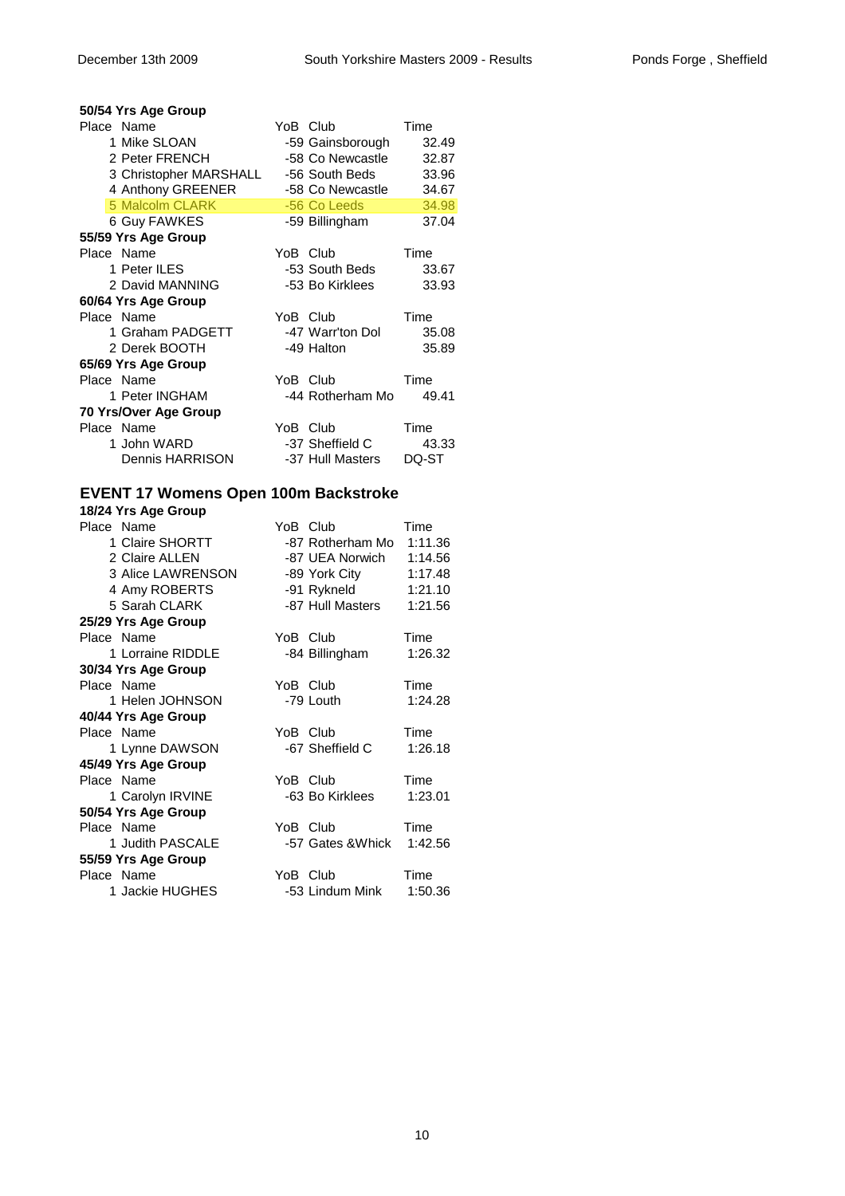| 50/54 Yrs Age Group    |          |                  |       |
|------------------------|----------|------------------|-------|
| Place Name             |          | YoB Club         | Time  |
| 1 Mike SLOAN           |          | -59 Gainsborough | 32.49 |
| 2 Peter FRENCH         |          | -58 Co Newcastle | 32.87 |
| 3 Christopher MARSHALL |          | -56 South Beds   | 33.96 |
| 4 Anthony GREENER      |          | -58 Co Newcastle | 34.67 |
| <b>5 Malcolm CLARK</b> |          | -56 Co Leeds     | 34.98 |
| 6 Guy FAWKES           |          | -59 Billingham   | 37.04 |
| 55/59 Yrs Age Group    |          |                  |       |
| Place Name             | YoB Club |                  | Time  |
| 1 Peter ILES           |          | -53 South Beds   | 33.67 |
| 2 David MANNING        |          | -53 Bo Kirklees  | 33.93 |
| 60/64 Yrs Age Group    |          |                  |       |
| Place Name             | YoB Club |                  | Time  |
| 1 Graham PADGETT       |          | -47 Warr'ton Dol | 35.08 |
| 2 Derek BOOTH          |          | -49 Halton       | 35.89 |
| 65/69 Yrs Age Group    |          |                  |       |
| Place Name             | YoB Club |                  | Time  |
| 1 Peter INGHAM         |          | -44 Rotherham Mo | 49.41 |
| 70 Yrs/Over Age Group  |          |                  |       |
| Place Name             | YoB Club |                  | Time  |
| 1 John WARD            |          | -37 Sheffield C  | 43.33 |
| <b>Dennis HARRISON</b> |          | -37 Hull Masters | DQ-ST |

# **EVENT 17 Womens Open 100m Backstroke**

| 18/24 Yrs Age Group |                              |
|---------------------|------------------------------|
| Place Name          | YoB Club<br>Time             |
| 1 Claire SHORTT     | -87 Rotherham Mo<br>1:11.36  |
| 2 Claire ALLEN      | -87 UEA Norwich<br>1:14.56   |
| 3 Alice LAWRENSON   | -89 York City<br>1:17.48     |
| 4 Amy ROBERTS       | -91 Rykneld<br>1:21.10       |
| 5 Sarah CLARK       | -87 Hull Masters<br>1:21.56  |
| 25/29 Yrs Age Group |                              |
| Place Name          | YoB Club<br>Time             |
| 1 Lorraine RIDDLE   | -84 Billingham<br>1:26.32    |
| 30/34 Yrs Age Group |                              |
| Place Name          | YoB Club<br>Time             |
| 1 Helen JOHNSON     | 1:24.28<br>-79 Louth         |
| 40/44 Yrs Age Group |                              |
| Place Name          | YoB Club<br>Time             |
| 1 Lynne DAWSON      | -67 Sheffield C<br>1:26.18   |
| 45/49 Yrs Age Group |                              |
| Place Name          | YoB Club<br>Time             |
| 1 Carolyn IRVINE    | -63 Bo Kirklees<br>1:23.01   |
| 50/54 Yrs Age Group |                              |
| Place Name          | Time<br>YoB Club             |
| 1 Judith PASCALE    | -57 Gates & Whick<br>1:42.56 |
| 55/59 Yrs Age Group |                              |
| Place Name          | Time<br>YoB Club             |
| 1 Jackie HUGHES     | -53 Lindum Mink<br>1:50.36   |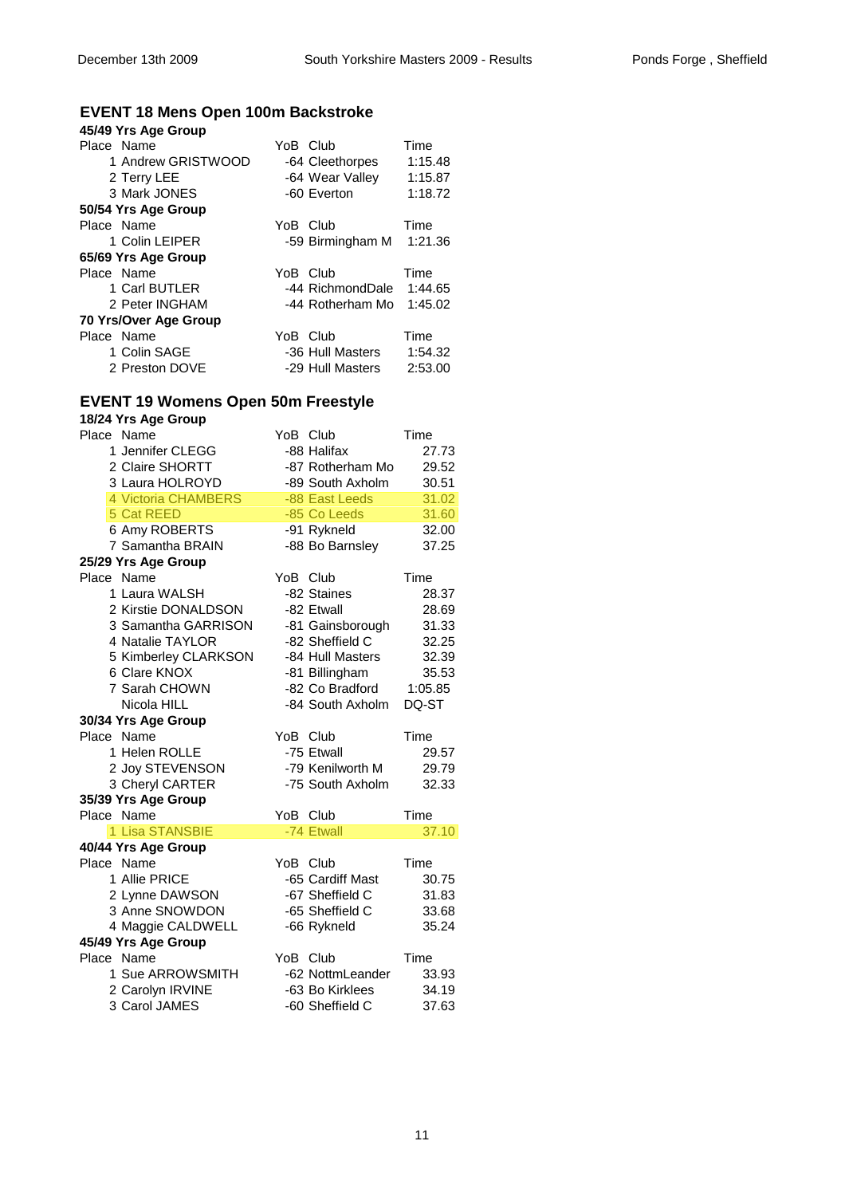#### **EVENT 18 Mens Open 100m Backstroke**

| 45/49 Yrs Age Group   |                  |         |
|-----------------------|------------------|---------|
| Place Name            | YoB Club         | Time    |
| 1 Andrew GRISTWOOD    | -64 Cleethorpes  | 1:15.48 |
| 2 Terry LEE           | -64 Wear Valley  | 1:15.87 |
| 3 Mark JONES          | -60 Everton      | 1:18.72 |
| 50/54 Yrs Age Group   |                  |         |
| Place Name            | YoB Club         | Time    |
| 1 Colin LEIPER        | -59 Birmingham M | 1:21.36 |
| 65/69 Yrs Age Group   |                  |         |
| Place Name            | YoB Club         | Time    |
| 1 Carl BUTLER         | -44 RichmondDale | 1:44.65 |
| 2 Peter INGHAM        | -44 Rotherham Mo | 1:45.02 |
| 70 Yrs/Over Age Group |                  |         |
| Place Name            | YoB Club         | Time    |
| 1 Colin SAGE          | -36 Hull Masters | 1:54.32 |
| 2 Preston DOVE        | -29 Hull Masters | 2:53.00 |

# **EVENT 19 Womens Open 50m Freestyle**

| 18/24 Yrs Age Group  |          |                  |         |
|----------------------|----------|------------------|---------|
| Place Name           | YoB Club |                  | Time    |
| 1 Jennifer CLEGG     |          | -88 Halifax      | 27.73   |
| 2 Claire SHORTT      |          | -87 Rotherham Mo | 29.52   |
| 3 Laura HOLROYD      |          | -89 South Axholm | 30.51   |
| 4 Victoria CHAMBERS  |          | -88 East Leeds   | 31.02   |
| 5 Cat REED           |          | -85 Co Leeds     | 31.60   |
| 6 Amy ROBERTS        |          | -91 Rykneld      | 32.00   |
| 7 Samantha BRAIN     |          | -88 Bo Barnsley  | 37.25   |
| 25/29 Yrs Age Group  |          |                  |         |
| Place Name           | YoB Club |                  | Time    |
| 1 Laura WALSH        |          | -82 Staines      | 28.37   |
| 2 Kirstie DONALDSON  |          | -82 Etwall       | 28.69   |
| 3 Samantha GARRISON  |          | -81 Gainsborough | 31.33   |
| 4 Natalie TAYLOR     |          | -82 Sheffield C  | 32.25   |
| 5 Kimberley CLARKSON |          | -84 Hull Masters | 32.39   |
| 6 Clare KNOX         |          | -81 Billingham   | 35.53   |
| 7 Sarah CHOWN        |          | -82 Co Bradford  | 1:05.85 |
| Nicola HILL          |          | -84 South Axholm | DQ-ST   |
| 30/34 Yrs Age Group  |          |                  |         |
| Place Name           | YoB Club |                  | Time    |
| 1 Helen ROLLE        |          | -75 Etwall       | 29.57   |
| 2 Joy STEVENSON      |          | -79 Kenilworth M | 29.79   |
| 3 Cheryl CARTER      |          | -75 South Axholm | 32.33   |
| 35/39 Yrs Age Group  |          |                  |         |
| Place Name           | YoB Club |                  | Time    |
| 1 Lisa STANSBIE      |          | -74 Etwall       | 37.10   |
| 40/44 Yrs Age Group  |          |                  |         |
| Place Name           | YoB Club |                  | Time    |
| 1 Allie PRICE        |          | -65 Cardiff Mast | 30.75   |
| 2 Lynne DAWSON       |          | -67 Sheffield C  | 31.83   |
| 3 Anne SNOWDON       |          | -65 Sheffield C  | 33.68   |
| 4 Maggie CALDWELL    |          | -66 Rykneld      | 35.24   |
| 45/49 Yrs Age Group  |          |                  |         |
| Place Name           | YoB Club |                  | Time    |
| 1 Sue ARROWSMITH     |          | -62 NottmLeander | 33.93   |
| 2 Carolyn IRVINE     |          | -63 Bo Kirklees  | 34.19   |
| 3 Carol JAMES        |          | -60 Sheffield C  | 37.63   |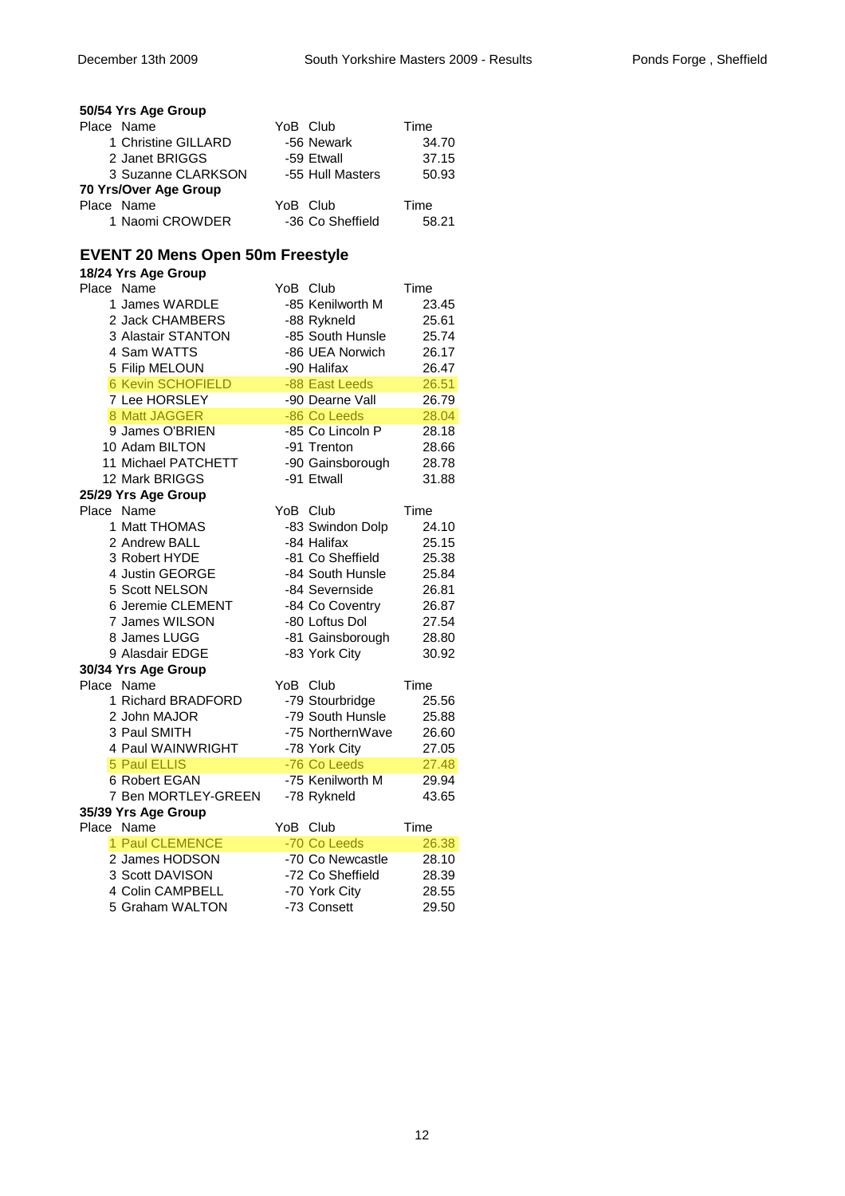| onds Forge, Sheffield |  |  |  |  |
|-----------------------|--|--|--|--|
|-----------------------|--|--|--|--|

|            | 50/54 Yrs Age Group   |          |                  |       |
|------------|-----------------------|----------|------------------|-------|
| Place Name |                       | YoB Club |                  | Time  |
|            | 1 Christine GILLARD   |          | -56 Newark       | 34.70 |
|            | 2 Janet BRIGGS        |          | -59 Etwall       | 37.15 |
|            | 3 Suzanne CLARKSON    |          | -55 Hull Masters | 50.93 |
|            | 70 Yrs/Over Age Group |          |                  |       |
| Place Name |                       | YoB Club |                  | Time  |
|            | 1 Naomi CROWDER       |          | -36 Co Sheffield | 58.21 |

#### **EVENT 20 Mens Open 50m Freestyle**

| 18/24 Yrs Age Group      |          |                  |       |
|--------------------------|----------|------------------|-------|
| Place Name               | YoB Club |                  | Time  |
| 1 James WARDLE           |          | -85 Kenilworth M | 23.45 |
| 2 Jack CHAMBERS          |          | -88 Rykneld      | 25.61 |
| 3 Alastair STANTON       |          | -85 South Hunsle | 25.74 |
| 4 Sam WATTS              |          | -86 UEA Norwich  | 26.17 |
| 5 Filip MELOUN           |          | -90 Halifax      | 26.47 |
| <b>6 Kevin SCHOFIELD</b> |          | -88 East Leeds   | 26.51 |
| 7 Lee HORSLEY            |          | -90 Dearne Vall  | 26.79 |
| 8 Matt JAGGER            |          | -86 Co Leeds     | 28.04 |
| 9 James O'BRIEN          |          | -85 Co Lincoln P | 28.18 |
| 10 Adam BILTON           |          | -91 Trenton      | 28.66 |
| 11 Michael PATCHETT      |          | -90 Gainsborough | 28.78 |
| 12 Mark BRIGGS           |          | -91 Etwall       | 31.88 |
| 25/29 Yrs Age Group      |          |                  |       |
| Place Name               | YoB Club |                  | Time  |
| 1 Matt THOMAS            |          | -83 Swindon Dolp | 24.10 |
| 2 Andrew BALL            |          | -84 Halifax      | 25.15 |
| 3 Robert HYDE            |          | -81 Co Sheffield | 25.38 |
| 4 Justin GEORGE          |          | -84 South Hunsle | 25.84 |
| 5 Scott NELSON           |          | -84 Severnside   | 26.81 |
| 6 Jeremie CLEMENT        |          | -84 Co Coventry  | 26.87 |
| 7 James WILSON           |          | -80 Loftus Dol   | 27.54 |
| 8 James LUGG             |          | -81 Gainsborough | 28.80 |
| 9 Alasdair EDGE          |          | -83 York City    | 30.92 |
| 30/34 Yrs Age Group      |          |                  |       |
| Place Name               | YoB Club |                  | Time  |
| 1 Richard BRADFORD       |          | -79 Stourbridge  | 25.56 |
| 2 John MAJOR             |          | -79 South Hunsle | 25.88 |
| 3 Paul SMITH             |          | -75 NorthernWave | 26.60 |
| 4 Paul WAINWRIGHT        |          | -78 York City    | 27.05 |
| 5 Paul ELLIS             |          | -76 Co Leeds     | 27.48 |
| 6 Robert EGAN            |          | -75 Kenilworth M | 29.94 |
| 7 Ben MORTLEY-GREEN      |          | -78 Rykneld      | 43.65 |
| 35/39 Yrs Age Group      |          |                  |       |
| Place Name               | YoB      | Club             | Time  |
| 1 Paul CLEMENCE          |          | -70 Co Leeds     | 26.38 |
| 2 James HODSON           |          | -70 Co Newcastle | 28.10 |
| 3 Scott DAVISON          |          | -72 Co Sheffield | 28.39 |
| 4 Colin CAMPBELL         |          | -70 York City    | 28.55 |

5 Graham WALTON -73 Consett 29.50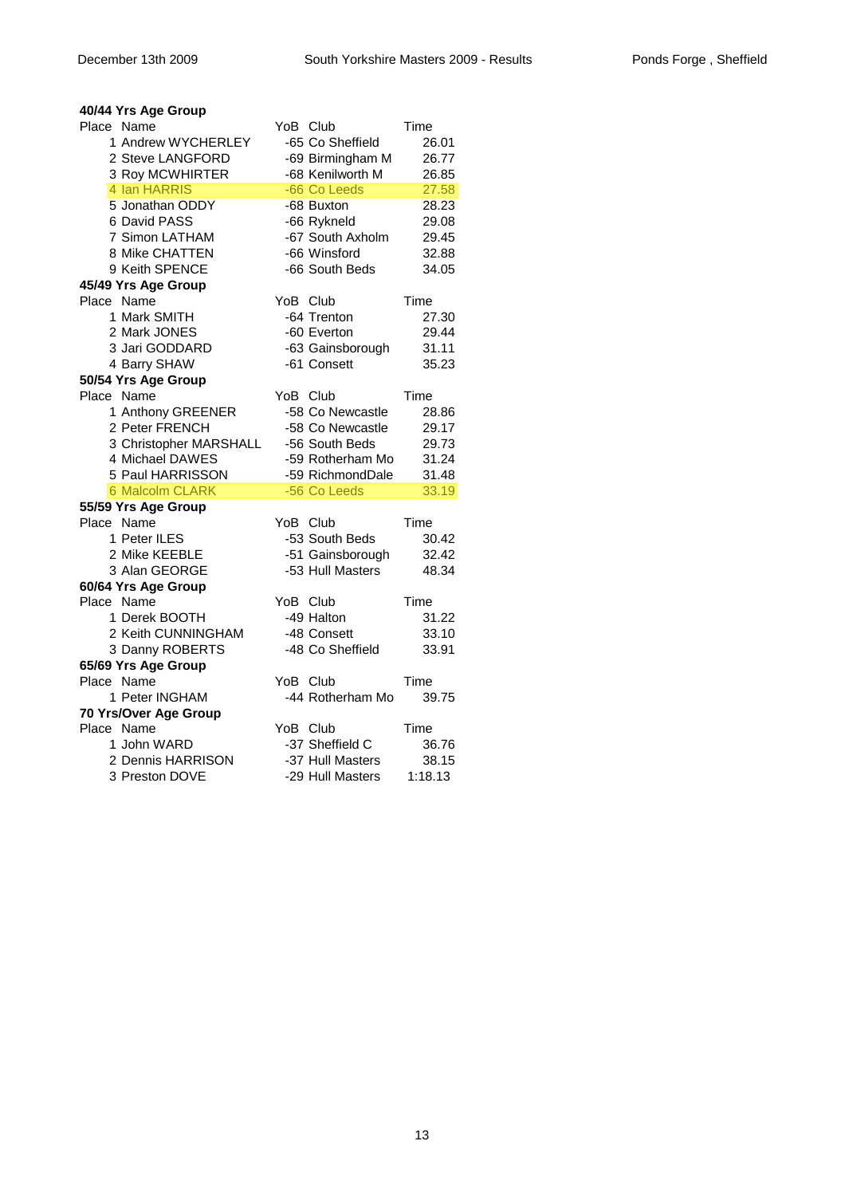# **40/44 Yrs Age Group**

| Place Name             | YoB Club |                  | Time    |
|------------------------|----------|------------------|---------|
| 1 Andrew WYCHERLEY     |          | -65 Co Sheffield | 26.01   |
| 2 Steve LANGFORD       |          | -69 Birmingham M | 26.77   |
| 3 Roy MCWHIRTER        |          | -68 Kenilworth M | 26.85   |
| 4 Ian HARRIS           |          | -66 Co Leeds     | 27.58   |
| 5 Jonathan ODDY        |          | -68 Buxton       | 28.23   |
| 6 David PASS           |          | -66 Rykneld      | 29.08   |
| 7 Simon LATHAM         |          | -67 South Axholm | 29.45   |
| 8 Mike CHATTEN         |          | -66 Winsford     | 32.88   |
| 9 Keith SPENCE         |          | -66 South Beds   | 34.05   |
| 45/49 Yrs Age Group    |          |                  |         |
| Place Name             |          | YoB Club         | Time    |
| 1 Mark SMITH           |          | -64 Trenton      | 27.30   |
| 2 Mark JONES           |          | -60 Everton      | 29.44   |
| 3 Jari GODDARD         |          | -63 Gainsborough | 31.11   |
| 4 Barry SHAW           |          | -61 Consett      | 35.23   |
| 50/54 Yrs Age Group    |          |                  |         |
| Place Name             |          | YoB Club         | Time    |
| 1 Anthony GREENER      |          | -58 Co Newcastle | 28.86   |
| 2 Peter FRENCH         |          | -58 Co Newcastle | 29.17   |
| 3 Christopher MARSHALL |          | -56 South Beds   | 29.73   |
| 4 Michael DAWES        |          | -59 Rotherham Mo | 31.24   |
| 5 Paul HARRISSON       |          | -59 RichmondDale | 31.48   |
| <b>6 Malcolm CLARK</b> |          | -56 Co Leeds     | 33.19   |
| 55/59 Yrs Age Group    |          |                  |         |
| Place Name             | YoB Club |                  | Time    |
| 1 Peter ILES           |          | -53 South Beds   | 30.42   |
| 2 Mike KEEBLE          |          | -51 Gainsborough | 32.42   |
| 3 Alan GEORGE          |          | -53 Hull Masters | 48.34   |
| 60/64 Yrs Age Group    |          |                  |         |
| Place Name             | YoB Club |                  | Time    |
| 1 Derek BOOTH          |          | -49 Halton       | 31.22   |
| 2 Keith CUNNINGHAM     |          | -48 Consett      | 33.10   |
| 3 Danny ROBERTS        |          | -48 Co Sheffield | 33.91   |
| 65/69 Yrs Age Group    |          |                  |         |
| Place Name             |          | YoB Club         | Time    |
| 1 Peter INGHAM         |          | -44 Rotherham Mo | 39.75   |
| 70 Yrs/Over Age Group  |          |                  |         |
| Place Name             | YoB Club |                  | Time    |
| 1 John WARD            |          | -37 Sheffield C  | 36.76   |
| 2 Dennis HARRISON      |          | -37 Hull Masters | 38.15   |
| 3 Preston DOVE         |          | -29 Hull Masters | 1:18.13 |
|                        |          |                  |         |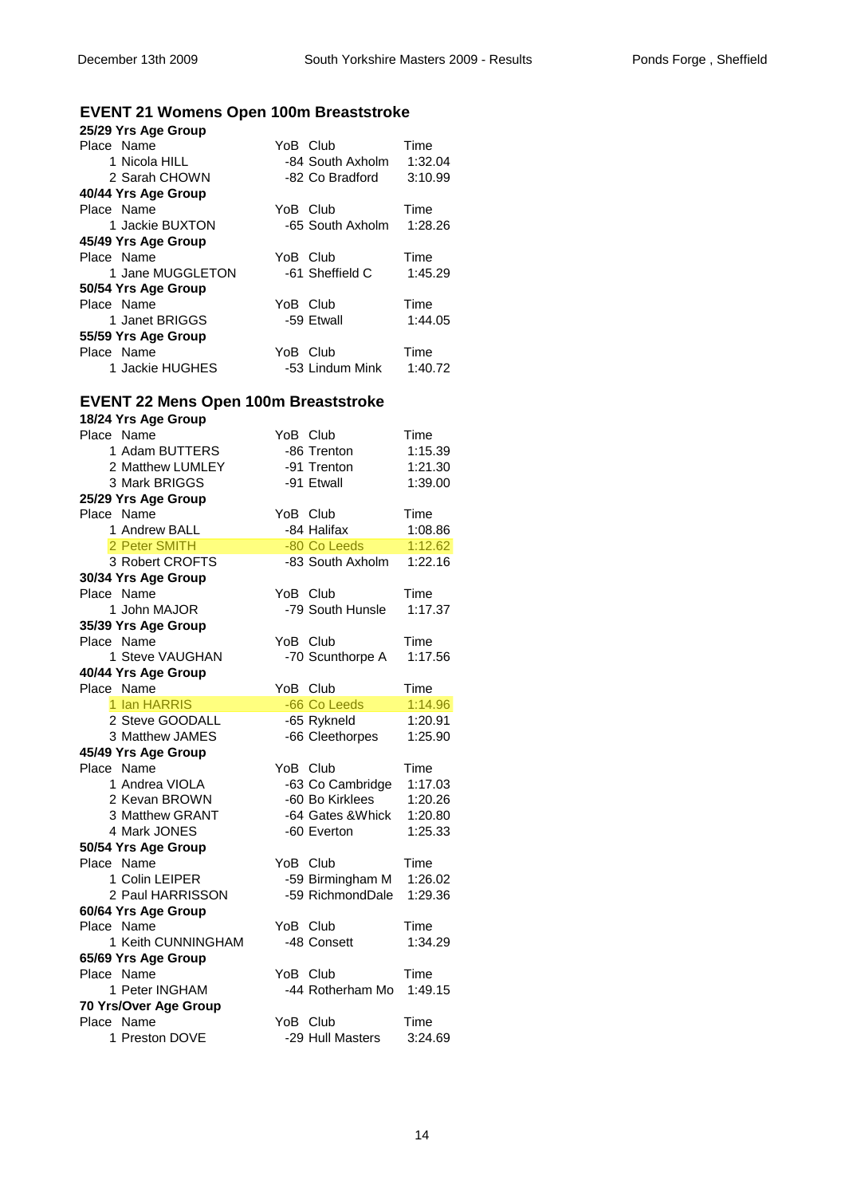# **EVENT 21 Womens Open 100m Breaststroke**

| 25/29 Yrs Age Group |          |                  |         |
|---------------------|----------|------------------|---------|
| Place Name          | YoB Club |                  | Time    |
| 1 Nicola HILL       |          | -84 South Axholm | 1:32.04 |
| 2 Sarah CHOWN       |          | -82 Co Bradford  | 3:10.99 |
| 40/44 Yrs Age Group |          |                  |         |
| Place Name          | YoB Club |                  | Time    |
| 1 Jackie BUXTON     |          | -65 South Axholm | 1:28.26 |
| 45/49 Yrs Age Group |          |                  |         |
| Place Name          | YoB Club |                  | Time    |
| 1 Jane MUGGLETON    |          | -61 Sheffield C  | 1:45.29 |
| 50/54 Yrs Age Group |          |                  |         |
| Place Name          | YoB Club |                  | Time    |
| 1 Janet BRIGGS      |          | -59 Etwall       | 1:44.05 |
| 55/59 Yrs Age Group |          |                  |         |
| Place Name          | YoB Club |                  | Time    |
| 1 Jackie HUGHES     |          | -53 Lindum Mink  | 1:40.72 |

# **EVENT 22 Mens Open 100m Breaststroke**

| 18/24 Yrs Age Group   |                   |         |
|-----------------------|-------------------|---------|
| Place Name            | YoB Club          | Time    |
| 1 Adam BUTTERS        | -86 Trenton       | 1:15.39 |
| 2 Matthew LUMLEY      | -91 Trenton       | 1:21.30 |
| 3 Mark BRIGGS         | -91 Etwall        | 1:39.00 |
| 25/29 Yrs Age Group   |                   |         |
| Place Name            | YoB Club          | Time    |
| 1 Andrew BALL         | -84 Halifax       | 1:08.86 |
| 2 Peter SMITH         | -80 Co Leeds      | 1:12.62 |
| 3 Robert CROFTS       | -83 South Axholm  | 1:22.16 |
| 30/34 Yrs Age Group   |                   |         |
| Place Name            | YoB Club          | Time    |
| 1 John MAJOR          | -79 South Hunsle  | 1:17.37 |
| 35/39 Yrs Age Group   |                   |         |
| Place Name            | YoB Club          | Time    |
| 1 Steve VAUGHAN       | -70 Scunthorpe A  | 1:17.56 |
| 40/44 Yrs Age Group   |                   |         |
| Place Name            | YoB Club          | Time    |
| 1 Ian HARRIS          | -66 Co Leeds      | 1:14.96 |
| 2 Steve GOODALL       | -65 Rykneld       | 1:20.91 |
| 3 Matthew JAMES       | -66 Cleethorpes   | 1:25.90 |
| 45/49 Yrs Age Group   |                   |         |
| Place Name            | YoB Club          | Time    |
| 1 Andrea VIOLA        | -63 Co Cambridge  | 1:17.03 |
| 2 Kevan BROWN         | -60 Bo Kirklees   | 1:20.26 |
| 3 Matthew GRANT       | -64 Gates & Whick | 1:20.80 |
| 4 Mark JONES          | -60 Everton       | 1:25.33 |
| 50/54 Yrs Age Group   |                   |         |
| Place Name            | YoB Club          | Time    |
| 1 Colin LEIPER        | -59 Birmingham M  | 1:26.02 |
| 2 Paul HARRISSON      | -59 RichmondDale  | 1:29.36 |
| 60/64 Yrs Age Group   |                   |         |
| Place Name            | YoB Club          | Time    |
| 1 Keith CUNNINGHAM    | -48 Consett       | 1:34.29 |
| 65/69 Yrs Age Group   |                   |         |
| Place Name            | YoB Club          | Time    |
| 1 Peter INGHAM        | -44 Rotherham Mo  | 1:49.15 |
| 70 Yrs/Over Age Group |                   |         |
| Place Name            | YoB Club          | Time    |
| 1 Preston DOVE        | -29 Hull Masters  | 3:24.69 |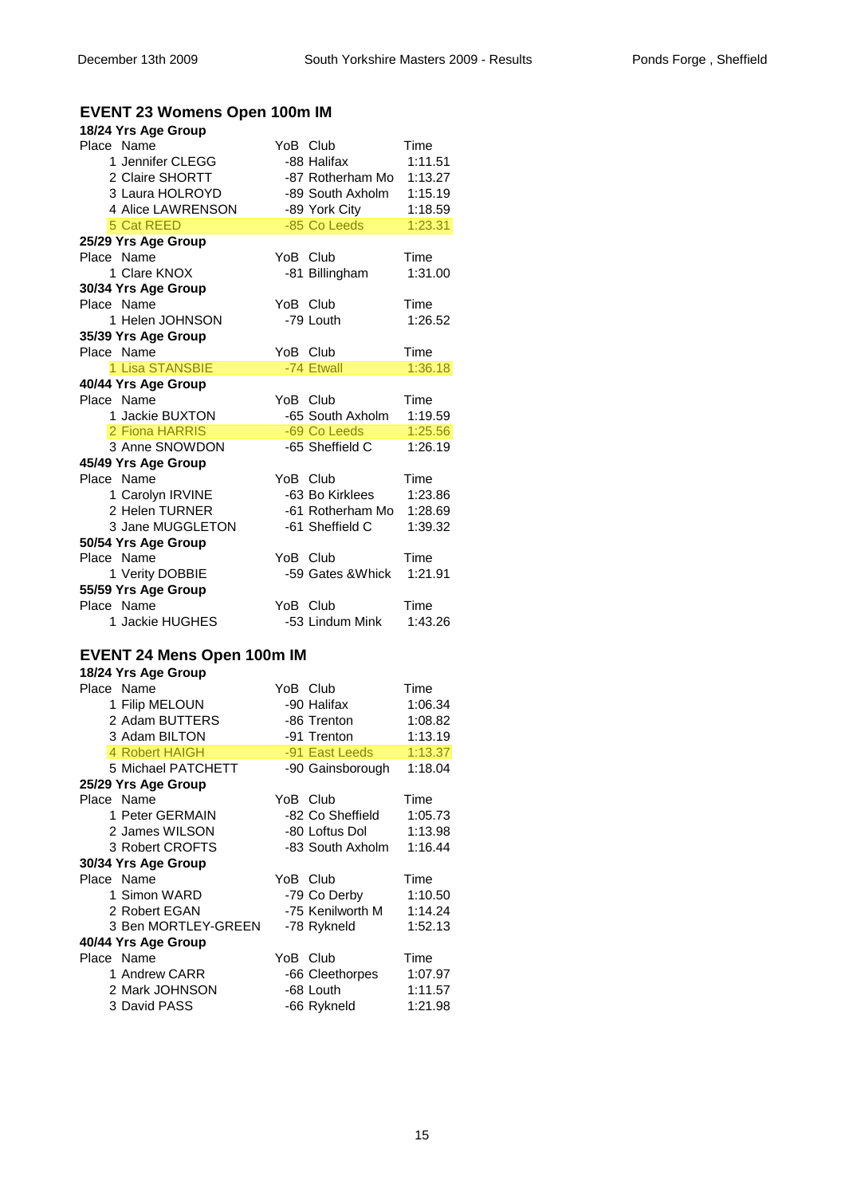# **EVENT 23 Womens Open 100m IM**

| 18/24 Yrs Age Group               |          |                   |         |
|-----------------------------------|----------|-------------------|---------|
| Place Name                        | YoB Club |                   | Time    |
| 1 Jennifer CLEGG                  |          | -88 Halifax       | 1:11.51 |
| 2 Claire SHORTT                   |          | -87 Rotherham Mo  | 1:13.27 |
| 3 Laura HOLROYD                   |          | -89 South Axholm  | 1:15.19 |
| 4 Alice LAWRENSON                 |          | -89 York City     | 1:18.59 |
| 5 Cat REED                        |          | -85 Co Leeds      | 1:23.31 |
| 25/29 Yrs Age Group               |          |                   |         |
| Place Name                        | YoB Club |                   | Time    |
| 1 Clare KNOX                      |          | -81 Billingham    | 1:31.00 |
| 30/34 Yrs Age Group               |          |                   |         |
| Place Name                        | YoB Club |                   | Time    |
| 1 Helen JOHNSON                   |          | -79 Louth         | 1:26.52 |
| 35/39 Yrs Age Group               |          |                   |         |
| Place Name                        | YoB Club |                   | Time    |
| 1 Lisa STANSBIE                   |          | -74 Etwall        | 1:36.18 |
| 40/44 Yrs Age Group               |          |                   |         |
| Place Name                        | YoB Club |                   | Time    |
| 1 Jackie BUXTON                   |          | -65 South Axholm  | 1:19.59 |
| 2 Fiona HARRIS                    |          | -69 Co Leeds      | 1:25.56 |
| 3 Anne SNOWDON                    |          | -65 Sheffield C   | 1:26.19 |
| 45/49 Yrs Age Group               |          |                   |         |
| Place Name                        | YoB Club |                   | Time    |
| 1 Carolyn IRVINE                  |          | -63 Bo Kirklees   | 1:23.86 |
| 2 Helen TURNER                    |          | -61 Rotherham Mo  | 1:28.69 |
| 3 Jane MUGGLETON                  |          | -61 Sheffield C   | 1:39.32 |
| 50/54 Yrs Age Group               |          |                   |         |
| Place Name                        | YoB Club |                   | Time    |
| 1 Verity DOBBIE                   |          | -59 Gates & Whick | 1:21.91 |
| 55/59 Yrs Age Group               |          |                   |         |
| Place Name                        | YoB Club |                   | Time    |
| 1 Jackie HUGHES                   |          | -53 Lindum Mink   | 1:43.26 |
| <b>EVENT 24 Mens Open 100m IM</b> |          |                   |         |
| 18/24 Yrs Age Group               |          |                   |         |
| Place Name                        | YoB Club |                   | Time    |
| 1 Filip MELOUN                    |          | -90 Halifax       | 1:06.34 |
| 2 Adam BUTTERS                    |          | -86 Trenton       | 1:08.82 |
| 3 Adam BILTON                     |          | -91 Trenton       | 1:13.19 |
| 4 Robert HAIGH                    |          | -91 East Leeds    | 1:13.37 |
| 5 Michael PATCHETT                |          | -90 Gainsborough  | 1:18.04 |
| 25/29 Yrs Age Group               |          |                   |         |
| Place Name                        | YoB Club |                   | Time    |
| 1 Peter GERMAIN                   |          | -82 Co Sheffield  | 1:05.73 |
| 2 James WILSON                    |          | -80 Loftus Dol    | 1:13.98 |
| 3 Robert CROFTS                   |          | -83 South Axholm  | 1:16.44 |
| 30/34 Yrs Age Group               |          |                   |         |
| Place Name                        | YoB Club |                   | Time    |
| 1 Simon WARD                      |          | -79 Co Derby      | 1:10.50 |
| 2 Robert EGAN                     |          | -75 Kenilworth M  | 1:14.24 |
| 3 Ben MORTLEY-GREEN               |          | -78 Rykneld       | 1:52.13 |
| 40/44 Yrs Age Group               |          |                   |         |
| Place Name                        | YoB Club |                   | Time    |
| 1 Andrew CARR                     |          | -66 Cleethorpes   | 1:07.97 |
| 2 Mark JOHNSON                    |          | -68 Louth         | 1:11.57 |
| 3 David PASS                      |          | -66 Rykneld       | 1:21.98 |
|                                   |          |                   |         |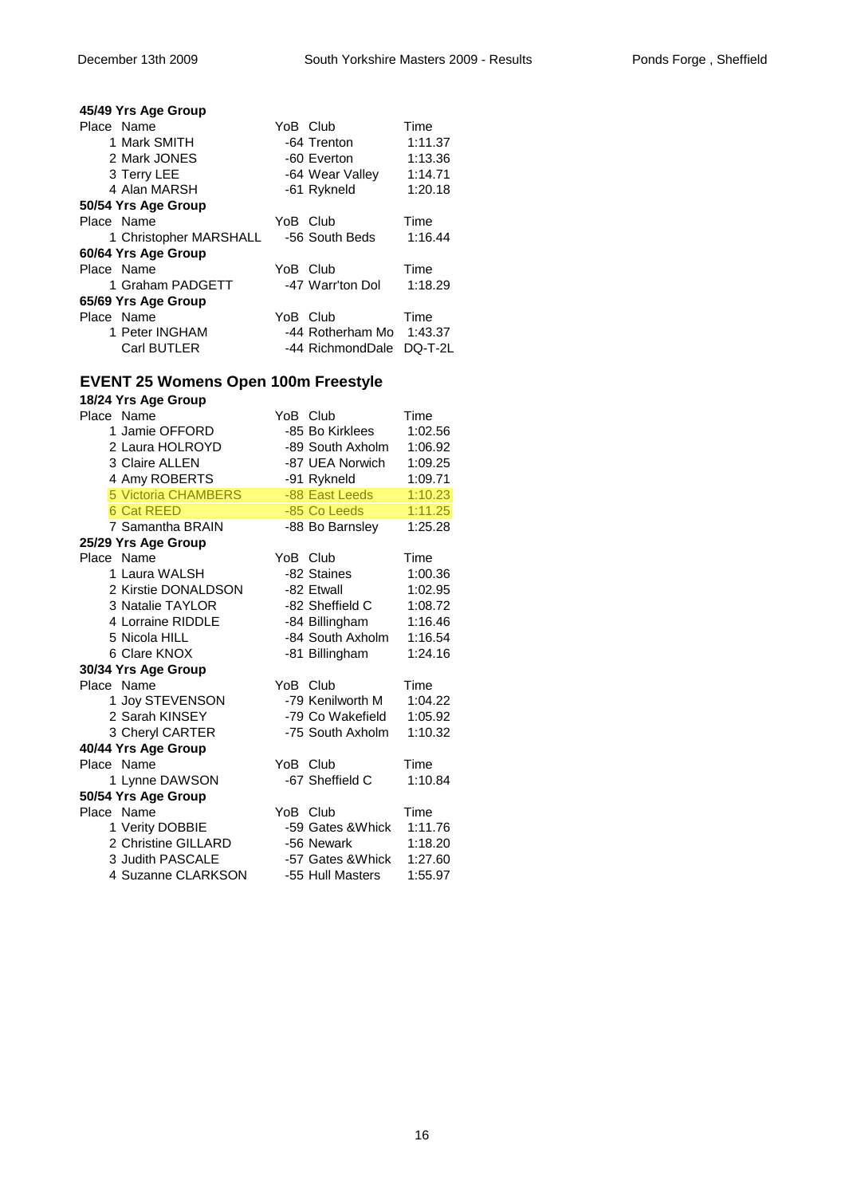| 45/49 Yrs Age Group    |                  |         |
|------------------------|------------------|---------|
| Place Name             | YoB Club         | Time    |
| 1 Mark SMITH           | -64 Trenton      | 1:11.37 |
| 2 Mark JONES           | -60 Everton      | 1:13.36 |
| 3 Terry LEE            | -64 Wear Valley  | 1:14.71 |
| 4 Alan MARSH           | -61 Rykneld      | 1:20.18 |
| 50/54 Yrs Age Group    |                  |         |
| Place Name             | YoB Club         | Time    |
| 1 Christopher MARSHALL | -56 South Beds   | 1:16.44 |
| 60/64 Yrs Age Group    |                  |         |
| Place Name             | YoB Club         | Time    |
| 1 Graham PADGETT       | -47 Warr'ton Dol | 1:18.29 |
| 65/69 Yrs Age Group    |                  |         |
| Place Name             | YoB Club         | Time    |
| 1 Peter INGHAM         | -44 Rotherham Mo | 1:43.37 |
| <b>Carl BUTLER</b>     | -44 RichmondDale | DQ-T-2L |

# **EVENT 25 Womens Open 100m Freestyle**

| 18/24 Yrs Age Group        |                   |         |
|----------------------------|-------------------|---------|
| Place Name                 | YoB Club          | Time    |
| 1 Jamie OFFORD             | -85 Bo Kirklees   | 1:02.56 |
| 2 Laura HOLROYD            | -89 South Axholm  | 1:06.92 |
| 3 Claire ALLEN             | -87 UEA Norwich   | 1:09.25 |
| 4 Amy ROBERTS              | -91 Rykneld       | 1:09.71 |
| <b>5 Victoria CHAMBERS</b> | -88 East Leeds    | 1:10.23 |
| <b>6 Cat REED</b>          | -85 Co Leeds      | 1:11.25 |
| 7 Samantha BRAIN           | -88 Bo Barnsley   | 1:25.28 |
| 25/29 Yrs Age Group        |                   |         |
| Place Name                 | YoB Club          | Time    |
| 1 Laura WALSH              | -82 Staines       | 1:00.36 |
| 2 Kirstie DONALDSON        | -82 Etwall        | 1:02.95 |
| 3 Natalie TAYLOR           | -82 Sheffield C   | 1:08.72 |
| 4 Lorraine RIDDLE          | -84 Billingham    | 1:16.46 |
| 5 Nicola HILL              | -84 South Axholm  | 1:16.54 |
| 6 Clare KNOX               | -81 Billingham    | 1:24.16 |
| 30/34 Yrs Age Group        |                   |         |
| Place Name                 | YoB Club          | Time    |
| 1 Joy STEVENSON            | -79 Kenilworth M  | 1:04.22 |
| 2 Sarah KINSEY             | -79 Co Wakefield  | 1:05.92 |
| 3 Cheryl CARTER            | -75 South Axholm  | 1:10.32 |
| 40/44 Yrs Age Group        |                   |         |
| Place Name                 | YoB Club          | Time    |
| 1 Lynne DAWSON             | -67 Sheffield C   | 1:10.84 |
| 50/54 Yrs Age Group        |                   |         |
| Place Name                 | YoB Club          | Time    |
| 1 Verity DOBBIE            | -59 Gates & Whick | 1:11.76 |
| 2 Christine GILLARD        | -56 Newark        | 1:18.20 |
| 3 Judith PASCALE           | -57 Gates & Whick | 1:27.60 |
| 4 Suzanne CLARKSON         | -55 Hull Masters  | 1:55.97 |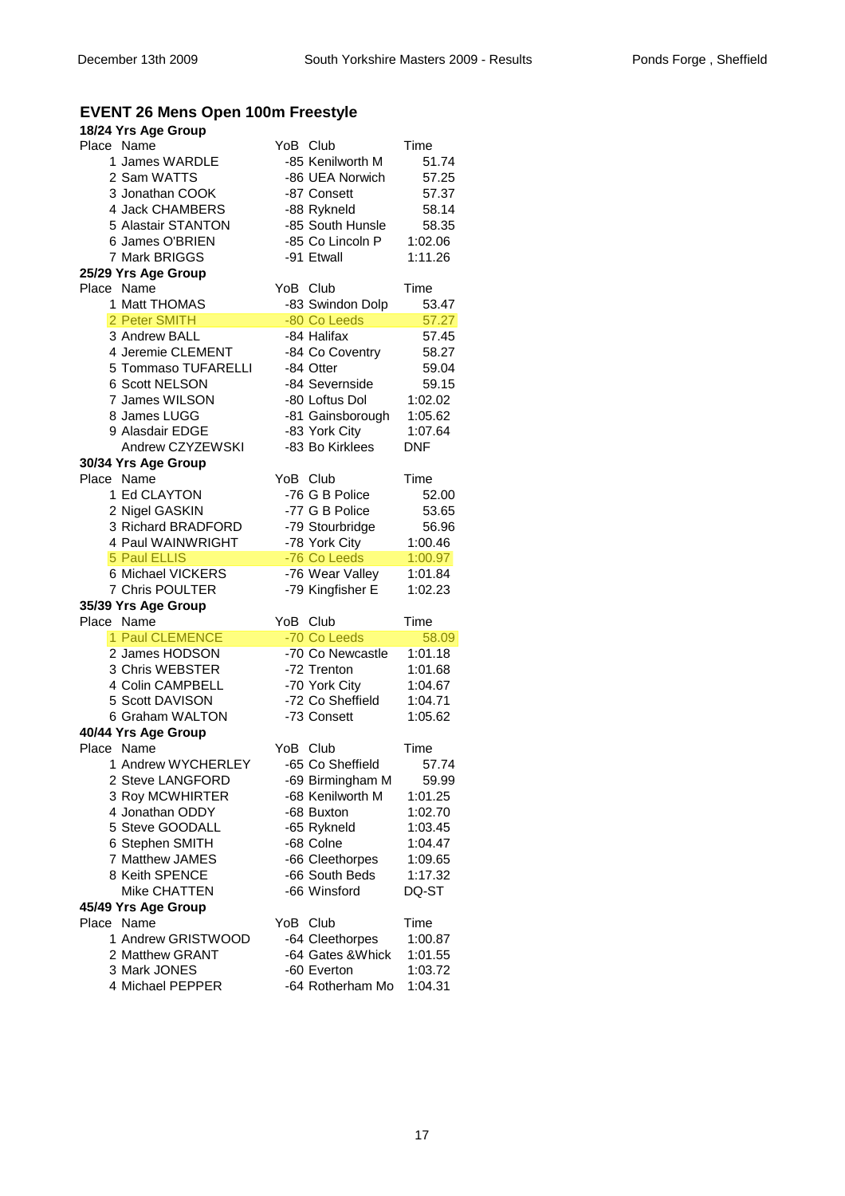# **EVENT 26 Mens Open 100m Freestyle**

| 18/24 Yrs Age Group   |          |                   |             |
|-----------------------|----------|-------------------|-------------|
| Place Name            | YoB Club |                   | Time        |
| 1 James WARDLE        |          | -85 Kenilworth M  | 51.74       |
| 2 Sam WATTS           |          | -86 UEA Norwich   | 57.25       |
| 3 Jonathan COOK       |          | -87 Consett       | 57.37       |
| 4 Jack CHAMBERS       |          | -88 Rykneld       | 58.14       |
| 5 Alastair STANTON    |          | -85 South Hunsle  | 58.35       |
| 6 James O'BRIEN       |          | -85 Co Lincoln P  | 1:02.06     |
| 7 Mark BRIGGS         |          | -91 Etwall        | 1:11.26     |
| 25/29 Yrs Age Group   |          |                   |             |
| Place Name            | YoB Club |                   | Time        |
| 1 Matt THOMAS         |          | -83 Swindon Dolp  | 53.47       |
| 2 Peter SMITH         |          | -80 Co Leeds      | 57.27       |
| 3 Andrew BALL         |          | -84 Halifax       | 57.45       |
| 4 Jeremie CLEMENT     |          | -84 Co Coventry   | 58.27       |
| 5 Tommaso TUFARELLI   |          | -84 Otter         | 59.04       |
| <b>6 Scott NELSON</b> |          | -84 Severnside    | 59.15       |
| 7 James WILSON        |          | -80 Loftus Dol    | 1:02.02     |
|                       |          |                   |             |
| 8 James LUGG          |          | -81 Gainsborough  | 1:05.62     |
| 9 Alasdair EDGE       |          | -83 York City     | 1:07.64     |
| Andrew CZYZEWSKI      |          | -83 Bo Kirklees   | <b>DNF</b>  |
| 30/34 Yrs Age Group   |          |                   |             |
| Place Name            | YoB Club |                   | Time        |
| 1 Ed CLAYTON          |          | -76 G B Police    | 52.00       |
| 2 Nigel GASKIN        |          | -77 G B Police    | 53.65       |
| 3 Richard BRADFORD    |          | -79 Stourbridge   | 56.96       |
| 4 Paul WAINWRIGHT     |          | -78 York City     | 1:00.46     |
| <b>5 Paul ELLIS</b>   |          | -76 Co Leeds      | 1:00.97     |
| 6 Michael VICKERS     |          | -76 Wear Valley   | 1:01.84     |
| 7 Chris POULTER       |          | -79 Kingfisher E  | 1:02.23     |
| 35/39 Yrs Age Group   |          |                   |             |
| Place Name            | YoB Club |                   | Time        |
| 1 Paul CLEMENCE       |          | -70 Co Leeds      | 58.09       |
| 2 James HODSON        |          | -70 Co Newcastle  | 1:01.18     |
| 3 Chris WEBSTER       |          | -72 Trenton       | 1:01.68     |
| 4 Colin CAMPBELL      |          | -70 York City     | 1:04.67     |
| 5 Scott DAVISON       |          | -72 Co Sheffield  | 1:04.71     |
| 6 Graham WALTON       |          | -73 Consett       | 1:05.62     |
| 40/44 Yrs Age Group   |          |                   |             |
| Place Name            | YoB Club |                   | <b>Time</b> |
| 1 Andrew WYCHERLEY    |          | -65 Co Sheffield  | 57.74       |
| 2 Steve LANGFORD      |          | -69 Birmingham M  | 59.99       |
| 3 Roy MCWHIRTER       |          | -68 Kenilworth M  | 1:01.25     |
| 4 Jonathan ODDY       |          | -68 Buxton        | 1:02.70     |
| 5 Steve GOODALL       |          | -65 Rykneld       | 1:03.45     |
| 6 Stephen SMITH       |          | -68 Colne         | 1:04.47     |
| 7 Matthew JAMES       |          | -66 Cleethorpes   | 1:09.65     |
| 8 Keith SPENCE        |          | -66 South Beds    | 1:17.32     |
| <b>Mike CHATTEN</b>   |          | -66 Winsford      | DQ-ST       |
| 45/49 Yrs Age Group   |          |                   |             |
| Place Name            | YoB      | Club              | Time        |
| 1 Andrew GRISTWOOD    |          | -64 Cleethorpes   | 1:00.87     |
| 2 Matthew GRANT       |          | -64 Gates & Whick | 1:01.55     |
| 3 Mark JONES          |          | -60 Everton       | 1:03.72     |
| 4 Michael PEPPER      |          | -64 Rotherham Mo  | 1:04.31     |